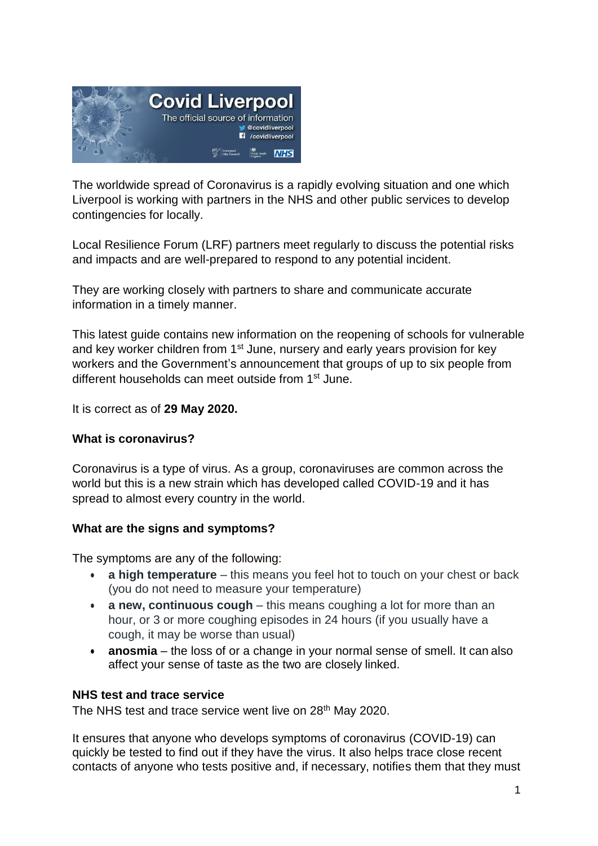

The worldwide spread of Coronavirus is a rapidly evolving situation and one which Liverpool is working with partners in the NHS and other public services to develop contingencies for locally.

Local Resilience Forum (LRF) partners meet regularly to discuss the potential risks and impacts and are well-prepared to respond to any potential incident.

They are working closely with partners to share and communicate accurate information in a timely manner.

This latest guide contains new information on the reopening of schools for vulnerable and key worker children from 1<sup>st</sup> June, nursery and early years provision for key workers and the Government's announcement that groups of up to six people from different households can meet outside from 1<sup>st</sup> June.

It is correct as of **29 May 2020.** 

### **What is coronavirus?**

Coronavirus is a type of virus. As a group, coronaviruses are common across the world but this is a new strain which has developed called COVID-19 and it has spread to almost every country in the world.

### **What are the signs and symptoms?**

The symptoms are any of the following:

- **a high temperature** this means you feel hot to touch on your chest or back (you do not need to measure your temperature)
- **a new, continuous cough** this means coughing a lot for more than an hour, or 3 or more coughing episodes in 24 hours (if you usually have a cough, it may be worse than usual)
- **anosmia**  the loss of or a change in your normal sense of smell. It can also affect your sense of taste as the two are closely linked.

### **NHS test and trace service**

The NHS test and trace service went live on 28<sup>th</sup> May 2020.

It ensures that anyone who develops symptoms of coronavirus (COVID-19) can quickly be tested to find out if they have the virus. It also helps trace close recent contacts of anyone who tests positive and, if necessary, notifies them that they must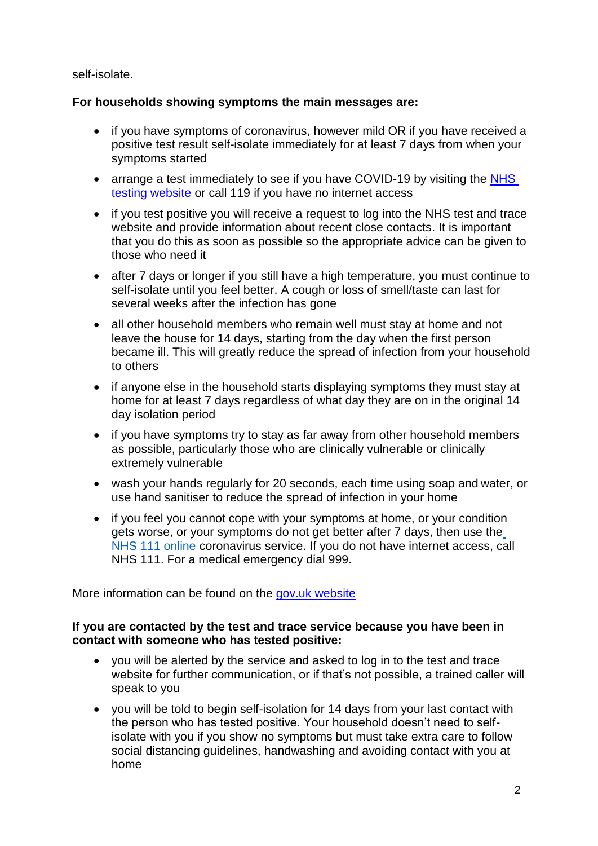self-isolate.

### **For households showing symptoms the main messages are:**

- if you have symptoms of coronavirus, however mild OR if you have received a positive test result self-isolate immediately for at least 7 days from when your symptoms started
- arrange a test immediately to see if you have COVID-19 by visiting the NHS [testing website](https://www.nhs.uk/conditions/coronavirus-covid-19/testing-for-coronavirus/) or call 119 if you have no internet access
- if you test positive you will receive a request to log into the NHS test and trace website and provide information about recent close contacts. It is important that you do this as soon as possible so the appropriate advice can be given to those who need it
- after 7 days or longer if you still have a high temperature, you must continue to self-isolate until you feel better. A cough or loss of smell/taste can last for several weeks after the infection has gone
- all other household members who remain well must stay at home and not leave the house for 14 days, starting from the day when the first person became ill. This will greatly reduce the spread of infection from your household to others
- if anyone else in the household starts displaying symptoms they must stay at home for at least 7 days regardless of what day they are on in the original 14 day isolation period
- if you have symptoms try to stay as far away from other household members as possible, particularly those who are clinically vulnerable or clinically extremely vulnerable
- wash your hands regularly for 20 seconds, each time using soap and water, or use hand sanitiser to reduce the spread of infection in your home
- if you feel you cannot cope with your symptoms at home, or your condition gets worse, or your symptoms do not get better after 7 days, then use the [NHS 111 online](https://111.nhs.uk/) coronavirus service. If you do not have internet access, call NHS 111. For a medical emergency dial 999.

More information can be found on the [gov.uk website](https://www.gov.uk/government/publications/covid-19-stay-at-home-guidance/stay-at-home-guidance-for-households-with-possible-coronavirus-covid-19-infection)

### **If you are contacted by the test and trace service because you have been in contact with someone who has tested positive:**

- you will be alerted by the service and asked to log in to the test and trace website for further communication, or if that's not possible, a trained caller will speak to you
- you will be told to begin self-isolation for 14 days from your last contact with the person who has tested positive. Your household doesn't need to selfisolate with you if you show no symptoms but must take extra care to follow social distancing guidelines, handwashing and avoiding contact with you at home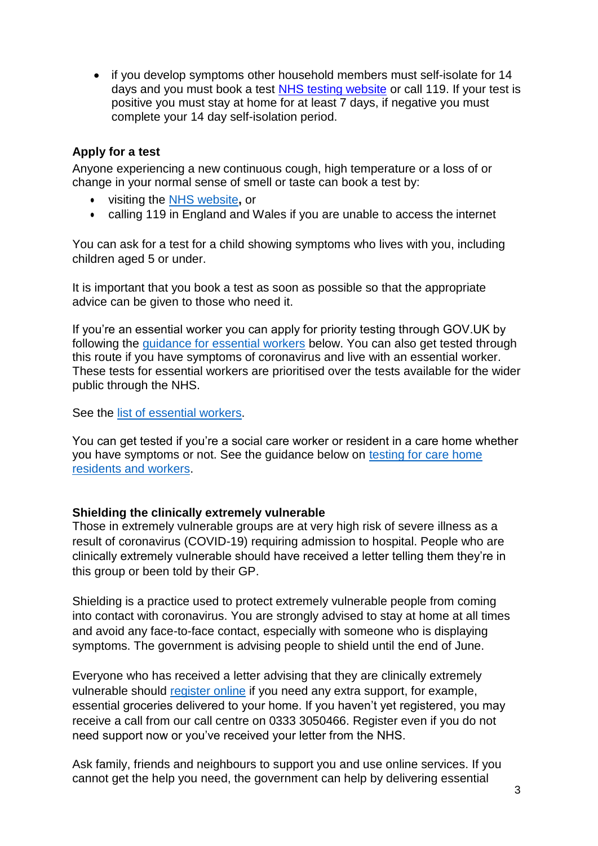if you develop symptoms other household members must self-isolate for 14 days and you must book a test [NHS testing website](https://www.nhs.uk/conditions/coronavirus-covid-19/testing-for-coronavirus/) or call 119. If your test is positive you must stay at home for at least 7 days, if negative you must complete your 14 day self-isolation period.

### **Apply for a test**

Anyone experiencing a new continuous cough, high temperature or a loss of or change in your normal sense of smell or taste can book a test by:

- visiting the [NHS website](https://www.nhs.uk/conditions/coronavirus-covid-19/)**,** or
- calling 119 in England and Wales if you are unable to access the internet

You can ask for a test for a child showing symptoms who lives with you, including children aged 5 or under.

It is important that you book a test as soon as possible so that the appropriate advice can be given to those who need it.

If you're an essential worker you can apply for priority testing through GOV.UK by following the [guidance for essential workers](https://www.gov.uk/guidance/coronavirus-covid-19-getting-tested#self-referral) below. You can also get tested through this route if you have symptoms of coronavirus and live with an essential worker. These tests for essential workers are prioritised over the tests available for the wider public through the NHS.

See the [list of essential workers.](https://www.gov.uk/guidance/coronavirus-covid-19-getting-tested#essential-workers)

You can get tested if you're a social care worker or resident in a care home whether you have symptoms or not. See the guidance below on [testing for care home](https://www.gov.uk/guidance/coronavirus-covid-19-getting-tested#care-home) [residents and workers.](https://www.gov.uk/guidance/coronavirus-covid-19-getting-tested#care-home)

### **Shielding the clinically extremely vulnerable**

Those in extremely vulnerable groups are at very high risk of severe illness as a result of coronavirus (COVID-19) requiring admission to hospital. People who are clinically extremely vulnerable should have received a letter telling them they're in this group or been told by their GP.

Shielding is a practice used to protect extremely vulnerable people from coming into contact with coronavirus. You are strongly advised to stay at home at all times and avoid any face-to-face contact, especially with someone who is displaying symptoms. The government is advising people to shield until the end of June.

Everyone who has received a letter advising that they are clinically extremely vulnerable should [register online](https://www.gov.uk/coronavirus-extremely-vulnerable) if you need any extra support, for example, essential groceries delivered to your home. If you haven't yet registered, you may receive a call from our call centre on 0333 3050466. Register even if you do not need support now or you've received your letter from the NHS.

Ask family, friends and neighbours to support you and use online services. If you cannot get the help you need, the government can help by delivering essential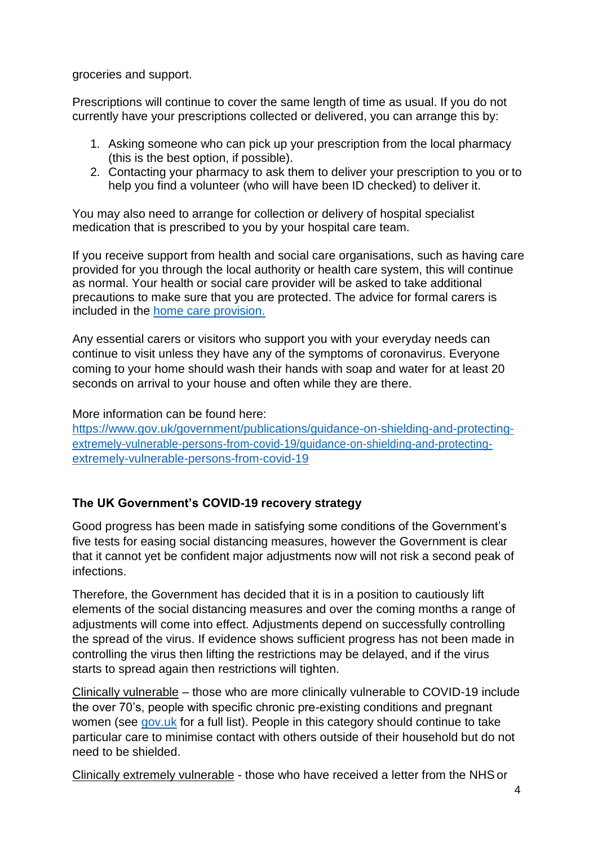groceries and support.

Prescriptions will continue to cover the same length of time as usual. If you do not currently have your prescriptions collected or delivered, you can arrange this by:

- 1. Asking someone who can pick up your prescription from the local pharmacy (this is the best option, if possible).
- 2. Contacting your pharmacy to ask them to deliver your prescription to you or to help you find a volunteer (who will have been ID checked) to deliver it.

You may also need to arrange for collection or delivery of hospital specialist medication that is prescribed to you by your hospital care team.

If you receive support from health and social care organisations, such as having care provided for you through the local authority or health care system, this will continue as normal. Your health or social care provider will be asked to take additional precautions to make sure that you are protected. The advice for formal carers is included in the [home care provision.](https://www.gov.uk/government/publications/covid-19-residential-care-supported-living-and-home-care-guidance/covid-19-guidance-on-home-care-provision)

Any essential carers or visitors who support you with your everyday needs can continue to visit unless they have any of the symptoms of coronavirus. Everyone coming to your home should wash their hands with soap and water for at least 20 seconds on arrival to your house and often while they are there.

More information can be found here:

[https://www.gov.uk/government/publications/guidance-on-shielding-and-protecting](https://www.gov.uk/government/publications/guidance-on-shielding-and-protecting-extremely-vulnerable-persons-from-covid-19/guidance-on-shielding-and-protecting-extremely-vulnerable-persons-from-covid-19)[extremely-vulnerable-persons-from-covid-19/guidance-on-shielding-and-protecting](https://www.gov.uk/government/publications/guidance-on-shielding-and-protecting-extremely-vulnerable-persons-from-covid-19/guidance-on-shielding-and-protecting-extremely-vulnerable-persons-from-covid-19)[extremely-vulnerable-persons-from-covid-19](https://www.gov.uk/government/publications/guidance-on-shielding-and-protecting-extremely-vulnerable-persons-from-covid-19/guidance-on-shielding-and-protecting-extremely-vulnerable-persons-from-covid-19)

# **The UK Government's COVID-19 recovery strategy**

Good progress has been made in satisfying some conditions of the Government's five tests for easing social distancing measures, however the Government is clear that it cannot yet be confident major adjustments now will not risk a second peak of infections.

Therefore, the Government has decided that it is in a position to cautiously lift elements of the social distancing measures and over the coming months a range of adjustments will come into effect. Adjustments depend on successfully controlling the spread of the virus. If evidence shows sufficient progress has not been made in controlling the virus then lifting the restrictions may be delayed, and if the virus starts to spread again then restrictions will tighten.

Clinically vulnerable – those who are more clinically vulnerable to COVID-19 include the over 70's, people with specific chronic pre-existing conditions and pregnant women (see [gov.uk](https://www.gov.uk/government/publications/full-guidance-on-staying-at-home-and-away-from-others/full-guidance-on-staying-at-home-and-away-from-others#eel-decline) for a full list). People in this category should continue to take particular care to minimise contact with others outside of their household but do not need to be shielded.

Clinically extremely vulnerable - those who have received a letter from the NHSor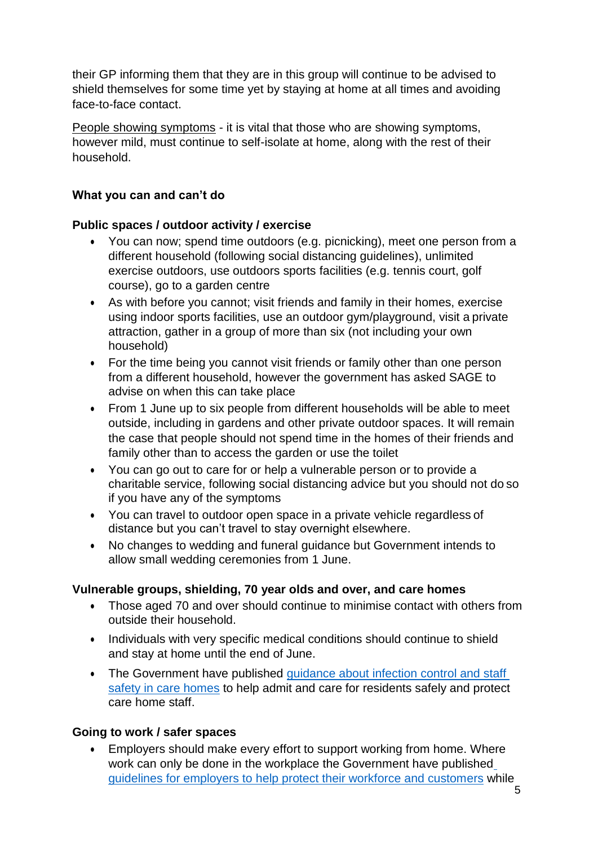their GP informing them that they are in this group will continue to be advised to shield themselves for some time yet by staying at home at all times and avoiding face-to-face contact.

People showing symptoms - it is vital that those who are showing symptoms, however mild, must continue to self-isolate at home, along with the rest of their household.

# **What you can and can't do**

## **Public spaces / outdoor activity / exercise**

- You can now; spend time outdoors (e.g. picnicking), meet one person from a different household (following social distancing guidelines), unlimited exercise outdoors, use outdoors sports facilities (e.g. tennis court, golf course), go to a garden centre
- As with before you cannot; visit friends and family in their homes, exercise using indoor sports facilities, use an outdoor gym/playground, visit a private attraction, gather in a group of more than six (not including your own household)
- For the time being you cannot visit friends or family other than one person from a different household, however the government has asked SAGE to advise on when this can take place
- From 1 June up to six people from different households will be able to meet outside, including in gardens and other private outdoor spaces. It will remain the case that people should not spend time in the homes of their friends and family other than to access the garden or use the toilet
- You can go out to care for or help a vulnerable person or to provide a charitable service, following social distancing advice but you should not do so if you have any of the symptoms
- You can travel to outdoor open space in a private vehicle regardless of distance but you can't travel to stay overnight elsewhere.
- No changes to wedding and funeral guidance but Government intends to allow small wedding ceremonies from 1 June.

## **Vulnerable groups, shielding, 70 year olds and over, and care homes**

- Those aged 70 and over should continue to minimise contact with others from outside their household.
- Individuals with very specific medical conditions should continue to shield and stay at home until the end of June.
- The Government have published [guidance about infection control and staff](https://assets.publishing.service.gov.uk/government/uploads/system/uploads/attachment_data/file/881329/COVID-19_How_to_work_safely_in_care_homes.pdf) [safety in care homes](https://assets.publishing.service.gov.uk/government/uploads/system/uploads/attachment_data/file/881329/COVID-19_How_to_work_safely_in_care_homes.pdf) to help admit and care for residents safely and protect care home staff.

## **Going to work / safer spaces**

 Employers should make every effort to support working from home. Where work can only be done in the workplace the Government have publishe[d](https://www.gov.uk/guidance/working-safely-during-coronavirus-covid-19) [guidelines for employers to help protect their workforce and customers](https://www.gov.uk/guidance/working-safely-during-coronavirus-covid-19) while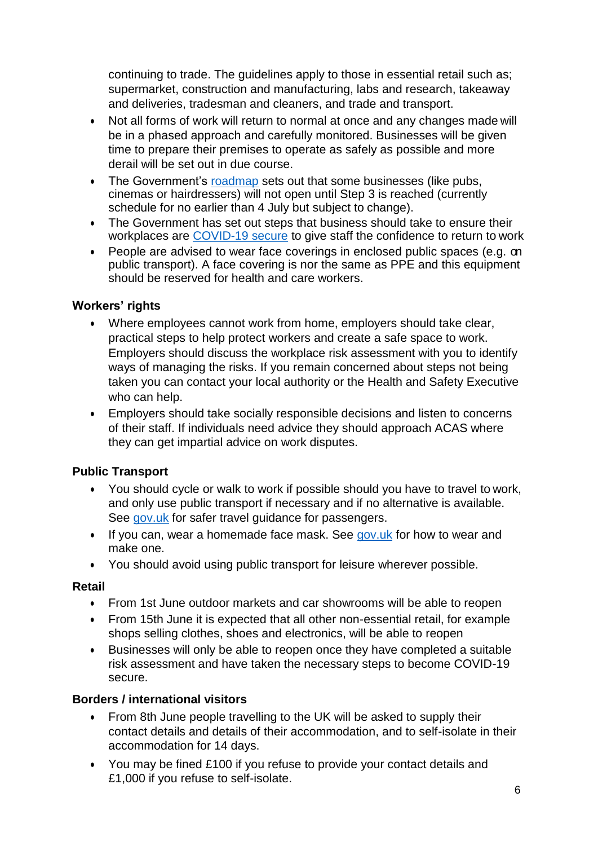continuing to trade. The guidelines apply to those in essential retail such as; supermarket, construction and manufacturing, labs and research, takeaway and deliveries, tradesman and cleaners, and trade and transport.

- Not all forms of work will return to normal at once and any changes made will be in a phased approach and carefully monitored. Businesses will be given time to prepare their premises to operate as safely as possible and more derail will be set out in due course.
- The Government's [roadmap](https://www.gov.uk/government/publications/our-plan-to-rebuild-the-uk-governments-covid-19-recovery-strategy) sets out that some businesses (like pubs, cinemas or hairdressers) will not open until Step 3 is reached (currently schedule for no earlier than 4 July but subject to change).
- The Government has set out steps that business should take to ensure their workplaces are [COVID-19 secure](https://www.gov.uk/guidance/working-safely-during-coronavirus-covid-19) to give staff the confidence to return to work
- People are advised to wear face coverings in enclosed public spaces (e.g. on public transport). A face covering is nor the same as PPE and this equipment should be reserved for health and care workers.

## **Workers' rights**

- Where employees cannot work from home, employers should take clear, practical steps to help protect workers and create a safe space to work. Employers should discuss the workplace risk assessment with you to identify ways of managing the risks. If you remain concerned about steps not being taken you can contact your local authority or the Health and Safety Executive who can help.
- Employers should take socially responsible decisions and listen to concerns of their staff. If individuals need advice they should approach ACAS where they can get impartial advice on work disputes.

## **Public Transport**

- You should cycle or walk to work if possible should you have to travel to work, and only use public transport if necessary and if no alternative is available. See [gov.uk](https://www.gov.uk/guidance/coronavirus-covid-19-safer-travel-guidance-for-passengers) for safer travel guidance for passengers.
- If you can, wear a homemade face mask. See [gov.uk](https://www.gov.uk/government/publications/how-to-wear-and-make-a-cloth-face-covering/how-to-wear-and-make-a-cloth-face-covering) for how to wear and make one.
- You should avoid using public transport for leisure wherever possible.

## **Retail**

- From 1st June outdoor markets and car showrooms will be able to reopen
- From 15th June it is expected that all other non-essential retail, for example shops selling clothes, shoes and electronics, will be able to reopen
- Businesses will only be able to reopen once they have completed a suitable risk assessment and have taken the necessary steps to become COVID-19 secure.

## **Borders / international visitors**

- From 8th June people travelling to the UK will be asked to supply their contact details and details of their accommodation, and to self-isolate in their accommodation for 14 days.
- You may be fined £100 if you refuse to provide your contact details and £1,000 if you refuse to self-isolate.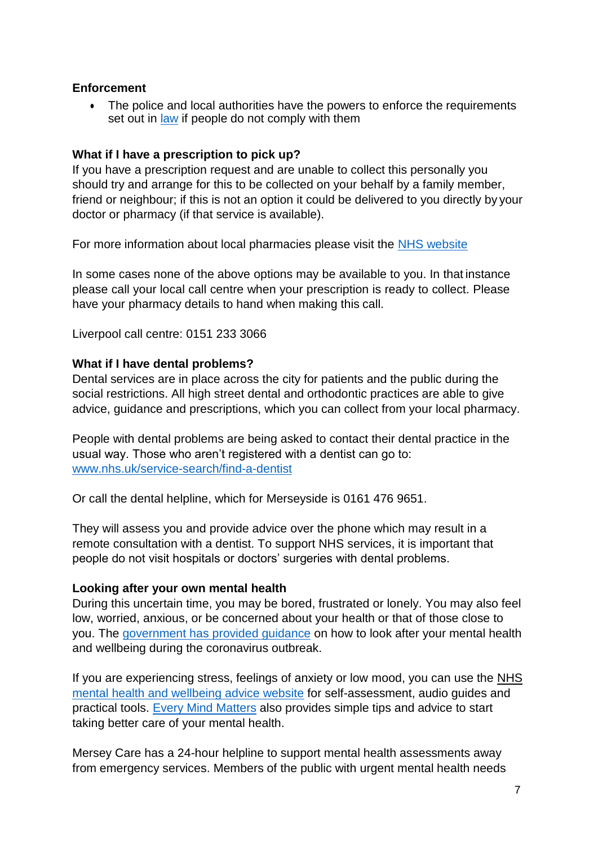### **Enforcement**

• The police and local authorities have the powers to enforce the requirements set out in [law](http://www.legislation.gov.uk/uksi/2020/350) if people do not comply with them

### **What if I have a prescription to pick up?**

If you have a prescription request and are unable to collect this personally you should try and arrange for this to be collected on your behalf by a family member, friend or neighbour; if this is not an option it could be delivered to you directly by your doctor or pharmacy (if that service is available).

For more information about local pharmacies please visit the [NHS website](https://www.nhs.uk/using-the-nhs/nhs-services/pharmacies/)

In some cases none of the above options may be available to you. In that instance please call your local call centre when your prescription is ready to collect. Please have your pharmacy details to hand when making this call.

Liverpool call centre: 0151 233 3066

### **What if I have dental problems?**

Dental services are in place across the city for patients and the public during the social restrictions. All high street dental and orthodontic practices are able to give advice, guidance and prescriptions, which you can collect from your local pharmacy.

People with dental problems are being asked to contact their dental practice in the usual way. Those who aren't registered with a dentist can go to: [www.nhs.uk/service-search/find-a-dentist](http://www.nhs.uk/service-search/find-a-dentist)

Or call the dental helpline, which for Merseyside is 0161 476 9651.

They will assess you and provide advice over the phone which may result in a remote consultation with a dentist. To support NHS services, it is important that people do not visit hospitals or doctors' surgeries with dental problems.

#### **Looking after your own mental health**

During this uncertain time, you may be bored, frustrated or lonely. You may also feel low, worried, anxious, or be concerned about your health or that of those close to you. The [government has provided guidance](https://www.gov.uk/government/publications/covid-19-guidance-for-the-public-on-mental-health-and-wellbeing/guidance-for-the-public-on-the-mental-health-and-wellbeing-aspects-of-coronavirus-covid-19) on how to look after your mental health and wellbeing during the coronavirus outbreak.

If you are experiencing stress, feelings of anxiety or low mood, you can use the [NHS](https://www.nhs.uk/conditions/stress-anxiety-depression/) [mental health and wellbeing advice website](https://www.nhs.uk/conditions/stress-anxiety-depression/) for self-assessment, audio guides and practical tools. [Every Mind Matters](https://www.nhs.uk/oneyou/every-mind-matters/) also provides simple tips and advice to start taking better care of your mental health.

Mersey Care has a 24-hour helpline to support mental health assessments away from emergency services. Members of the public with urgent mental health needs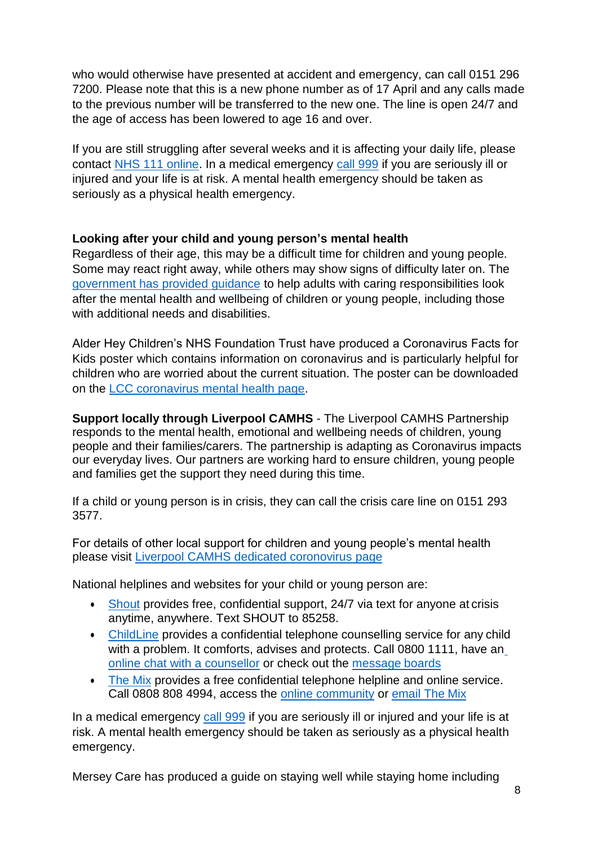who would otherwise have presented at accident and emergency, can call 0151 296 7200. Please note that this is a new phone number as of 17 April and any calls made to the previous number will be transferred to the new one. The line is open 24/7 and the age of access has been lowered to age 16 and over.

If you are still struggling after several weeks and it is affecting your daily life, please contact [NHS 111 online.](https://111.nhs.uk/) In a medical emergency [call 999](https://www.nhs.uk/using-the-nhs/nhs-services/urgent-and-emergency-care/when-to-call-999/) if you are seriously ill or injured and your life is at risk. A mental health emergency should be taken as seriously as a physical health emergency.

### **Looking after your child and young person's mental health**

Regardless of their age, this may be a difficult time for children and young people. Some may react right away, while others may show signs of difficulty later on. The [government has provided guidance](https://www.gov.uk/government/publications/covid-19-guidance-on-supporting-children-and-young-peoples-mental-health-and-wellbeing/guidance-for-parents-and-carers-on-supporting-children-and-young-peoples-mental-health-and-wellbeing-during-the-coronavirus-covid-19-outbreak%23helping-children-and-young-people-cope-with-stress/How-children-and-young-people-of-different-ages-may-react) to help adults with caring responsibilities look after the mental health and wellbeing of children or young people, including those with additional needs and disabilities.

Alder Hey Children's NHS Foundation Trust have produced a Coronavirus Facts for Kids poster which contains information on coronavirus and is particularly helpful for children who are worried about the current situation. The poster can be downloaded on the [LCC coronavirus mental health page.](https://liverpool.gov.uk/communities-and-safety/emergency-planning/coronavirus/looking-after-your-mental-health/)

**Support locally through Liverpool CAMHS** - The Liverpool CAMHS Partnership responds to the mental health, emotional and wellbeing needs of children, young people and their families/carers. The partnership is adapting as Coronavirus impacts our everyday lives. Our partners are working hard to ensure children, young people and families get the support they need during this time.

If a child or young person is in crisis, they can call the crisis care line on 0151 293 3577.

For details of other local support for children and young people's mental health please visit [Liverpool CAMHS dedicated coronovirus](https://www.liverpoolcamhs.com/children-young-people/covid-19-liverpool-camhs-support/) page

National helplines and websites for your child or young person are:

- [Shout](https://www.crisistextline.uk/) provides free, confidential support, 24/7 via text for anyone at crisis anytime, anywhere. Text SHOUT to 85258.
- [ChildLine](https://www.childline.org.uk/Pages/Home.aspx) provides a confidential telephone counselling service for any child with a problem. It comforts, advises and protects. Call 0800 1111, have a[n](https://www.childline.org.uk/get-support/1-2-1-counsellor-chat/) [online chat with a counsellor](https://www.childline.org.uk/get-support/1-2-1-counsellor-chat/) or check out the [message](https://www.childline.org.uk/get-support/message-boards/) boards
- [The Mix](http://www.themix.org.uk/) provides a free confidential telephone helpline and online service. Call 0808 808 4994, access the [online community](https://community.themix.org.uk/) or [email The](http://www.themix.org.uk/get-support/speak-to-our-team/email-us) Mix

In a medical emergency [call 999](https://www.nhs.uk/using-the-nhs/nhs-services/urgent-and-emergency-care/when-to-call-999/) if you are seriously ill or injured and your life is at risk. A mental health emergency should be taken as seriously as a physical health emergency.

Mersey Care has produced a guide on staying well while staying home including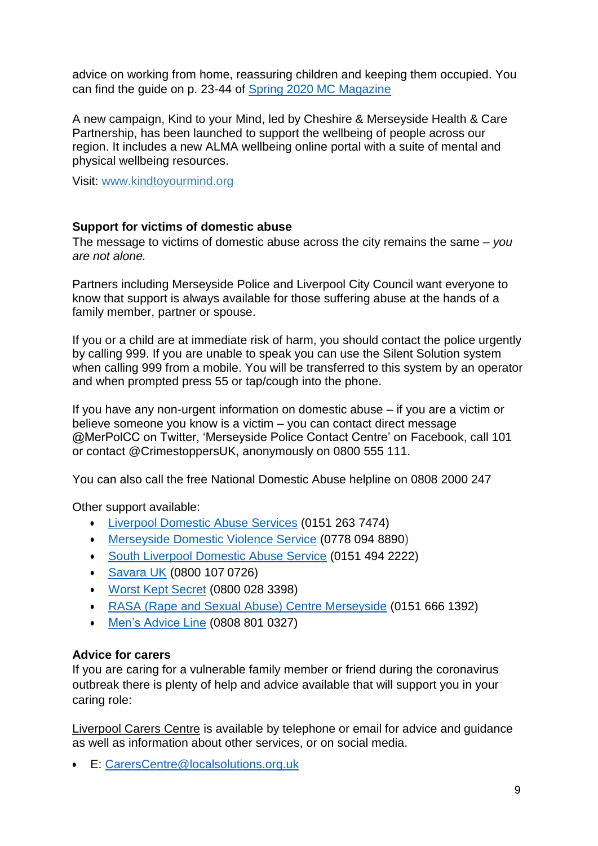advice on working from home, reassuring children and keeping them occupied. You can find the guide on p. 23-44 of [Spring 2020 MC Magazine](https://issuu.com/juliecrompton/docs/mc_magazine_-_april_2020?fr=sOTk3MjcwNDI0MQ)

A new campaign, Kind to your Mind, led by Cheshire & Merseyside Health & Care Partnership, has been launched to support the wellbeing of people across our region. It includes a new ALMA wellbeing online portal with a suite of mental and physical wellbeing resources.

Visit: [www.kindtoyourmind.org](http://www.kindtoyourmind.org/)

### **Support for victims of domestic abuse**

The message to victims of domestic abuse across the city remains the same – *you are not alone.*

Partners including Merseyside Police and Liverpool City Council want everyone to know that support is always available for those suffering abuse at the hands of a family member, partner or spouse.

If you or a child are at immediate risk of harm, you should contact the police urgently by calling 999. If you are unable to speak you can use the Silent Solution system when calling 999 from a mobile. You will be transferred to this system by an operator and when prompted press 55 or tap/cough into the phone.

If you have any non-urgent information on domestic abuse – if you are a victim or believe someone you know is a victim – you can contact direct message @MerPolCC on Twitter, 'Merseyside Police Contact Centre' on Facebook, call 101 or contact @CrimestoppersUK, anonymously on 0800 555 111.

You can also call the free National Domestic Abuse helpline on 0808 2000 247

Other support available:

- [Liverpool Domestic Abuse Services](https://liverpooldomesticabuseservice.org.uk/) (0151 263 7474)
- [Merseyside Domestic Violence Service](http://mdvs.co.uk/) (0778 094 8890)
- [South Liverpool Domestic Abuse Service](https://www.sl-domesticabuseservices.org.uk/) (0151 494 2222)
- [Savara UK](https://www.saverauk.co.uk/) (0800 107 0726)
- [Worst Kept Secret](https://www.localsolutions.org.uk/north-west-services/domestic-abuse/14-worst-kept-secret) (0800 028 3398)
- [RASA \(Rape and Sexual Abuse\) Centre Merseyside](https://www.rasamerseyside.org/) (0151 666 1392)
- [Men's Advice Line](https://mensadviceline.org.uk/) (0808 801 0327)

## **Advice for carers**

If you are caring for a vulnerable family member or friend during the coronavirus outbreak there is plenty of help and advice available that will support you in your caring role:

Liverpool Carers Centre is available by telephone or email for advice and guidance as well as information about other services, or on social media.

E: [CarersCentre@localsolutions.org.uk](mailto:CarersCentre@localsolutions.org.uk)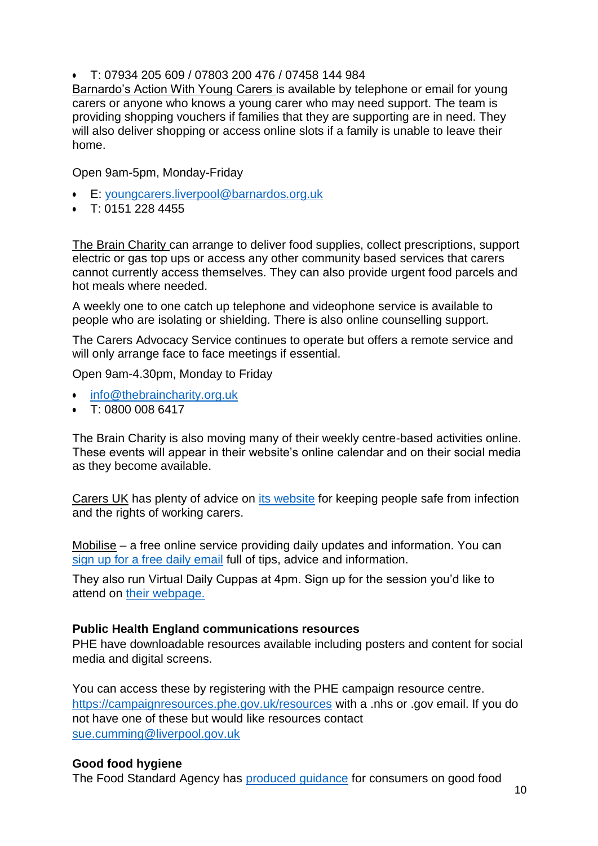T: 07934 205 609 / 07803 200 476 / 07458 144 984

Barnardo's Action With Young Carers is available by telephone or email for young carers or anyone who knows a young carer who may need support. The team is providing shopping vouchers if families that they are supporting are in need. They will also deliver shopping or access online slots if a family is unable to leave their home.

Open 9am-5pm, Monday-Friday

- E: [youngcarers.liverpool@barnardos.org.uk](mailto:youngcarers.liverpool@barnardos.org.uk)
- $\cdot$  T: 0151 228 4455

The Brain Charity can arrange to deliver food supplies, collect prescriptions, support electric or gas top ups or access any other community based services that carers cannot currently access themselves. They can also provide urgent food parcels and hot meals where needed.

A weekly one to one catch up telephone and videophone service is available to people who are isolating or shielding. There is also online counselling support.

The Carers Advocacy Service continues to operate but offers a remote service and will only arrange face to face meetings if essential.

Open 9am-4.30pm, Monday to Friday

- [info@thebraincharity.org.uk](mailto:info@thebraincharity.org.uk)
- T: 0800 008 6417

The Brain Charity is also moving many of their weekly centre-based activities online. These events will appear in their website's online calendar and on their social media as they become available.

Carers UK has plenty of advice on [its website](https://www.carersuk.org/help-and-advice/health/looking-after-your-health/coronavirus-covid-19) for keeping people safe from infection and the rights of working carers.

Mobilise – a free online service providing daily updates and information. You can [sign up for a free daily email](https://james816492.typeform.com/to/NZSl88) full of tips, advice and information.

They also run Virtual Daily Cuppas at 4pm. Sign up for the session you'd like to attend on [their webpage.](file:///s:/www.mobiliseonline.co.uk/cuppa)

### **Public Health England communications resources**

PHE have downloadable resources available including posters and content for social media and digital screens.

You can access these by registering with the PHE campaign resource centre. <https://campaignresources.phe.gov.uk/resources> with a .nhs or .gov email. If you do not have one of these but would like resources contact [sue.cumming@liverpool.gov.uk](mailto:sue.cumming@liverpool.gov.uk)

### **Good food hygiene**

The Food Standard Agency has [produced guidance](https://www.gov.uk/government/publications/guidance-for-consumers-on-coronavirus-covid-19-and-food/guidance-for-consumers-on-coronavirus-covid-19-and-food) for consumers on good food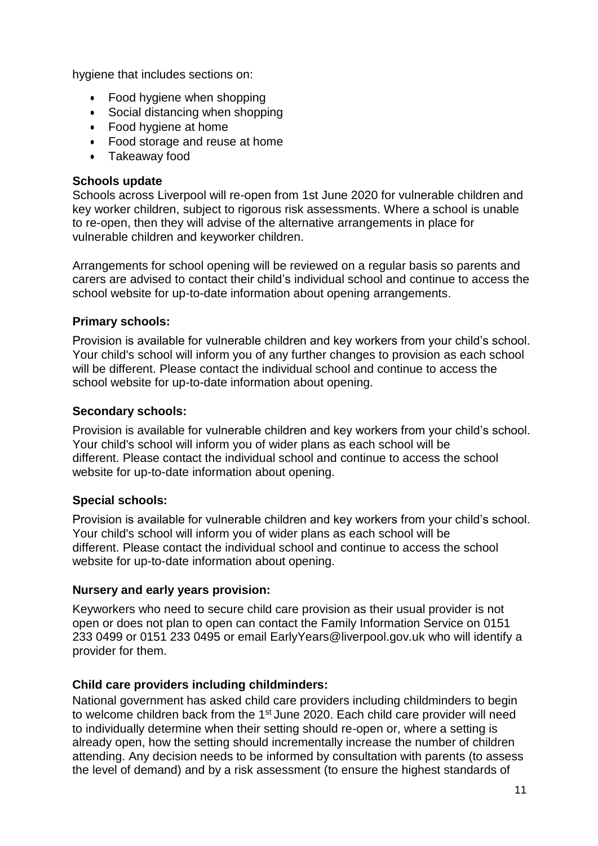hygiene that includes sections on:

- Food hygiene when shopping
- Social distancing when shopping
- Food hygiene at home
- Food storage and reuse at home
- Takeaway food

#### **Schools update**

Schools across Liverpool will re-open from 1st June 2020 for vulnerable children and key worker children, subject to rigorous risk assessments. Where a school is unable to re-open, then they will advise of the alternative arrangements in place for vulnerable children and keyworker children.

Arrangements for school opening will be reviewed on a regular basis so parents and carers are advised to contact their child's individual school and continue to access the school website for up-to-date information about opening arrangements.

### **Primary schools:**

Provision is available for vulnerable children and key workers from your child's school. Your child's school will inform you of any further changes to provision as each school will be different. Please contact the individual school and continue to access the school website for up-to-date information about opening.

### **Secondary schools:**

Provision is available for vulnerable children and key workers from your child's school. Your child's school will inform you of wider plans as each school will be different. Please contact the individual school and continue to access the school website for up-to-date information about opening.

## **Special schools:**

Provision is available for vulnerable children and key workers from your child's school. Your child's school will inform you of wider plans as each school will be different. Please contact the individual school and continue to access the school website for up-to-date information about opening.

### **Nursery and early years provision:**

Keyworkers who need to secure child care provision as their usual provider is not open or does not plan to open can contact the Family Information Service on 0151 233 0499 or 0151 233 0495 or email [EarlyYears@liverpool.gov.uk](mailto:EarlyYears@liverpool.gov.uk) who will identify a provider for them.

## **Child care providers including childminders:**

National government has asked child care providers including childminders to begin to welcome children back from the 1st June 2020. Each child care provider will need to individually determine when their setting should re-open or, where a setting is already open, how the setting should incrementally increase the number of children attending. Any decision needs to be informed by consultation with parents (to assess the level of demand) and by a risk assessment (to ensure the highest standards of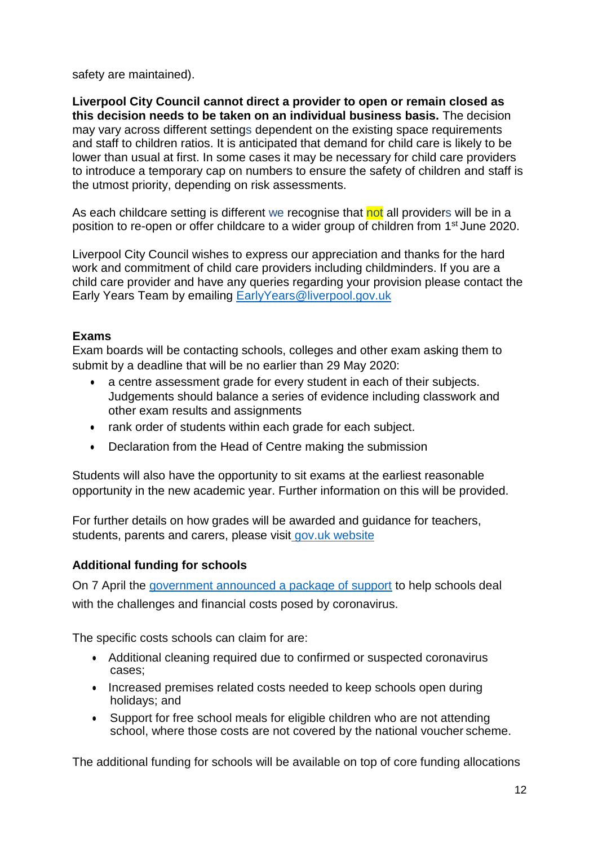safety are maintained).

**Liverpool City Council cannot direct a provider to open or remain closed as this decision needs to be taken on an individual business basis.** The decision may vary across different settings dependent on the existing space requirements and staff to children ratios. It is anticipated that demand for child care is likely to be lower than usual at first. In some cases it may be necessary for child care providers to introduce a temporary cap on numbers to ensure the safety of children and staff is the utmost priority, depending on risk assessments.

As each childcare setting is different we recognise that not all providers will be in a position to re-open or offer childcare to a wider group of children from 1<sup>st</sup> June 2020.

Liverpool City Council wishes to express our appreciation and thanks for the hard work and commitment of child care providers including childminders. If you are a child care provider and have any queries regarding your provision please contact the Early Years Team by emailing [EarlyYears@liverpool.gov.uk](mailto:EarlyYears@liverpool.gov.uk)

# **Exams**

Exam boards will be contacting schools, colleges and other exam asking them to submit by a deadline that will be no earlier than 29 May 2020:

- a centre assessment grade for every student in each of their subjects. Judgements should balance a series of evidence including classwork and other exam results and assignments
- rank order of students within each grade for each subject.
- Declaration from the Head of Centre making the submission

Students will also have the opportunity to sit exams at the earliest reasonable opportunity in the new academic year. Further information on this will be provided.

For further details on how grades will be awarded and guidance for teachers, students, parents and carers, please visit [gov.uk website](https://www.gov.uk/government/publications/gcses-as-and-a-level-awarding-summer-2020)

## **Additional funding for schools**

On 7 April the [government announced a package of support](https://www.gov.uk/government/news/extra-support-for-schools-and-parents-to-help-cope-with-coronavirus) to help schools deal with the challenges and financial costs posed by coronavirus.

The specific costs schools can claim for are:

- Additional cleaning required due to confirmed or suspected coronavirus cases;
- Increased premises related costs needed to keep schools open during holidays; and
- Support for free school meals for eligible children who are not attending school, where those costs are not covered by the national voucher scheme.

The additional funding for schools will be available on top of core funding allocations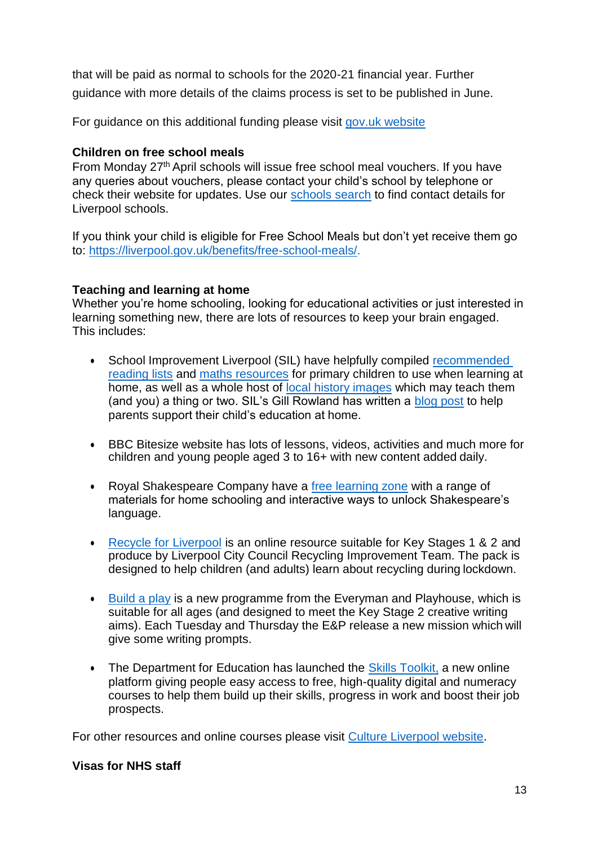that will be paid as normal to schools for the 2020-21 financial year. Further guidance with more details of the claims process is set to be published in June.

For guidance on this additional funding please visit [gov.uk website](https://www.gov.uk/government/publications/coronavirus-covid-19-financial-support-for-schools)

## **Children on free school meals**

From Monday 27th April schools will issue free school meal vouchers. If you have any queries about vouchers, please contact your child's school by telephone or check their website for updates. Use our [schools search](https://liverpool.gov.uk/schools-and-learning/school-admissions/school-search/) to find contact details for Liverpool schools.

If you think your child is eligible for Free School Meals but don't yet receive them go to: [https://liverpool.gov.uk/benefits/free-school-meals/.](https://liverpool.gov.uk/benefits/free-school-meals/)

### **Teaching and learning at home**

Whether you're home schooling, looking for educational activities or just interested in learning something new, there are lots of resources to keep your brain engaged. This includes:

- School Improvement Liverpool (SIL) have helpfully compiled [recommended](https://www.schoolimprovementliverpool.co.uk/-SIL_Recommended_Reading_Lists) [reading lists](https://www.schoolimprovementliverpool.co.uk/-SIL_Recommended_Reading_Lists) and [maths resources](https://www.schoolimprovementliverpool.co.uk/Primary-Resources-Maths) for primary children to use when learning at home, as well as a whole host of [local history images](https://www.schoolimprovementliverpool.co.uk/userfiles/files/free%20primary%20resources/Local%20history%20images.pptx) which may teach them (and you) a thing or two. SIL's Gill Rowland has written a [blog post](https://www.schoolimprovementliverpool.co.uk/Blog-for-parents-300320) to help parents support their child's education at home.
- BBC Bitesize website has lots of lessons, videos, activities and much more for children and young people aged 3 to 16+ with new content added daily.
- Royal Shakespeare Company have a [free learning zone](https://www.rsc.org.uk/shakespeare-learning-zone) with a range of materials for home schooling and interactive ways to unlock Shakespeare's language.
- [Recycle for Liverpool](https://culturecdn.fra1.cdn.digitaloceanspaces.com/2020/04/Online-resource.pdf) is an online resource suitable for Key Stages 1 & 2 and produce by Liverpool City Council Recycling Improvement Team. The pack is designed to help children (and adults) learn about recycling during lockdown.
- $\cdot$  [Build a play](https://www.everymanplayhouse.com/everyplaytime/buildaplay) is a new programme from the Everyman and Playhouse, which is suitable for all ages (and designed to meet the Key Stage 2 creative writing aims). Each Tuesday and Thursday the E&P release a new mission which will give some writing prompts.
- The Department for Education has launched the [Skills Toolkit,](https://bit.ly/SkillsToolkitNorth) a new online platform giving people easy access to free, high-quality digital and numeracy courses to help them build up their skills, progress in work and boost their job prospects.

For other resources and online courses please visit [Culture Liverpool website.](https://www.cultureliverpool.co.uk/teaching-at-home/)

### **Visas for NHS staff**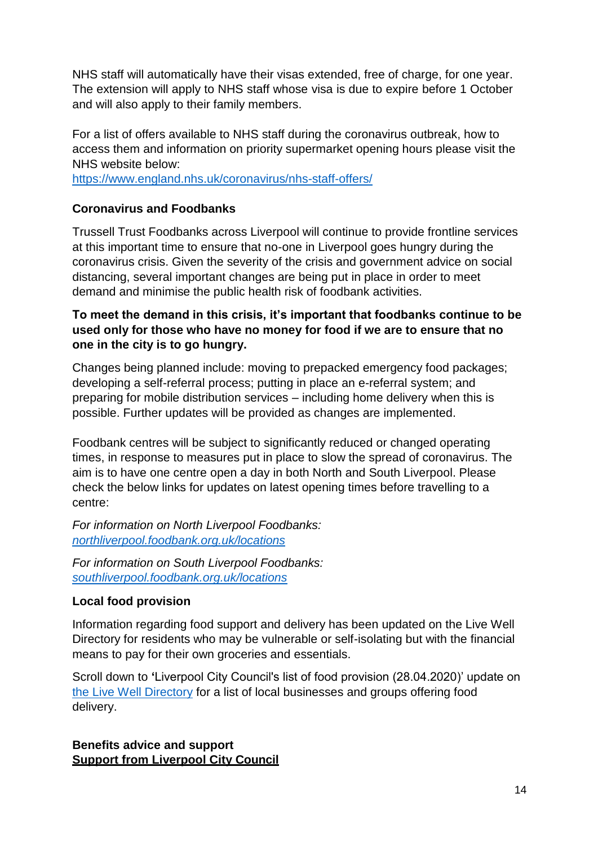NHS staff will automatically have their visas extended, free of charge, for one year. The extension will apply to NHS staff whose visa is due to expire before 1 October and will also apply to their family members.

For a list of offers available to NHS staff during the coronavirus outbreak, how to access them and information on priority supermarket opening hours please visit the NHS website below:

<https://www.england.nhs.uk/coronavirus/nhs-staff-offers/>

# **Coronavirus and Foodbanks**

Trussell Trust Foodbanks across Liverpool will continue to provide frontline services at this important time to ensure that no-one in Liverpool goes hungry during the coronavirus crisis. Given the severity of the crisis and government advice on social distancing, several important changes are being put in place in order to meet demand and minimise the public health risk of foodbank activities.

# **To meet the demand in this crisis, it's important that foodbanks continue to be used only for those who have no money for food if we are to ensure that no one in the city is to go hungry.**

Changes being planned include: moving to prepacked emergency food packages; developing a self-referral process; putting in place an e-referral system; and preparing for mobile distribution services – including home delivery when this is possible. Further updates will be provided as changes are implemented.

Foodbank centres will be subject to significantly reduced or changed operating times, in response to measures put in place to slow the spread of coronavirus. The aim is to have one centre open a day in both North and South Liverpool. Please check the below links for updates on latest opening times before travelling to a centre:

*For information on North Liverpool Foodbanks: [northliverpool.foodbank.org.uk/locations](http://www.northliverpool.foodbank.org.uk/locations)*

*For information on South Liverpool Foodbanks: [southliverpool.foodbank.org.uk/locations](http://www.southliverpool.foodbank.org.uk/locations)*

## **Local food provision**

Information regarding food support and delivery has been updated on the Live Well Directory for residents who may be vulnerable or self-isolating but with the financial means to pay for their own groceries and essentials.

Scroll down to **'**Liverpool City Council's list of food provision (28.04.2020)' update on [the Live Well Directory](https://www.thelivewelldirectory.com/Services/8034) for a list of local businesses and groups offering food delivery.

**Benefits advice and support Support from Liverpool City Council**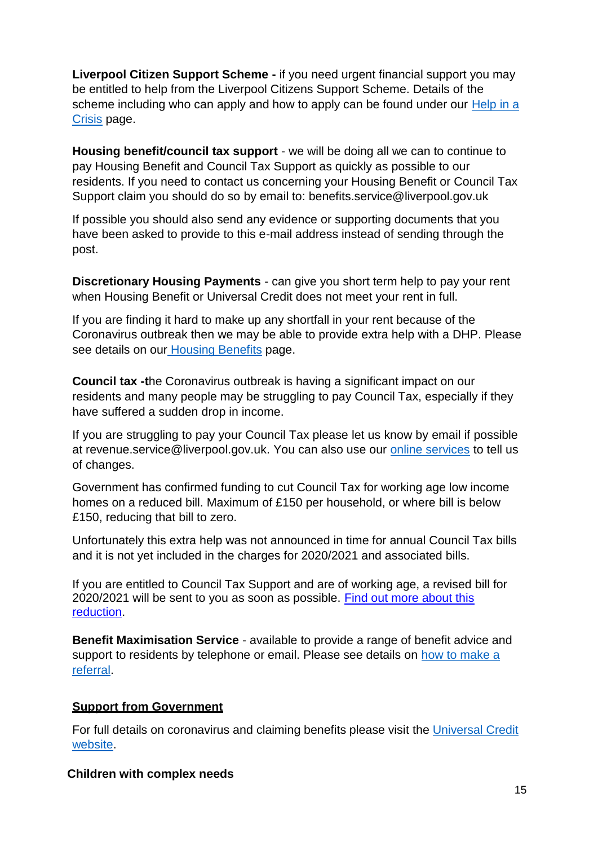**Liverpool Citizen Support Scheme -** if you need urgent financial support you may be entitled to help from the Liverpool Citizens Support Scheme. Details of the scheme including who can apply and how to apply can be found under our [Help in a](https://liverpool.gov.uk/benefits/help-in-a-crisis/) [Crisis](https://liverpool.gov.uk/benefits/help-in-a-crisis/) page.

**Housing benefit/council tax support** - we will be doing all we can to continue to pay Housing Benefit and Council Tax Support as quickly as possible to our residents. If you need to contact us concerning your Housing Benefit or Council Tax Support claim you should do so by email to: [benefits.service@liverpool.gov.uk](mailto:benefits.service@liverpool.gov.uk)

If possible you should also send any evidence or supporting documents that you have been asked to provide to this e-mail address instead of sending through the post.

**Discretionary Housing Payments** - can give you short term help to pay your rent when Housing Benefit or Universal Credit does not meet your rent in full.

If you are finding it hard to make up any shortfall in your rent because of the Coronavirus outbreak then we may be able to provide extra help with a DHP. Please see details on our [Housing Benefits](https://liverpool.gov.uk/benefits/housing-benefits/housing-benefit/) page.

**Council tax -t**he Coronavirus outbreak is having a significant impact on our residents and many people may be struggling to pay Council Tax, especially if they have suffered a sudden drop in income.

If you are struggling to pay your Council Tax please let us know by email if possible at [revenue.service@liverpool.gov.uk. Y](mailto:revenue.service@liverpool.gov.uk)ou can also use our [online services](https://liverpool.gov.uk/benefits/housing-benefits/council-tax-support/) to tell us of changes.

Government has confirmed funding to cut Council Tax for working age low income homes on a reduced bill. Maximum of £150 per household, or where bill is below £150, reducing that bill to zero.

Unfortunately this extra help was not announced in time for annual Council Tax bills and it is not yet included in the charges for 2020/2021 and associated bills.

If you are entitled to Council Tax Support and are of working age, a revised bill for 2020/2021 will be sent to you as soon as possible. [Find out more about this](https://assets.publishing.service.gov.uk/government/uploads/system/uploads/attachment_data/file/874867/COVID-19_Council_Tax_Hardship_Fund_Guidance.pdf) [reduction.](https://assets.publishing.service.gov.uk/government/uploads/system/uploads/attachment_data/file/874867/COVID-19_Council_Tax_Hardship_Fund_Guidance.pdf)

**Benefit Maximisation Service** - available to provide a range of benefit advice and support to residents by telephone or email. Please see details on [how to make a](https://liverpool.gov.uk/benefits/advice-and-support/benefits-advice/) [referral.](https://liverpool.gov.uk/benefits/advice-and-support/benefits-advice/)

## **Support from Government**

For full details on coronavirus and claiming benefits please visit the [Universal Credit](https://www.understandinguniversalcredit.gov.uk/coronavirus/) [website.](https://www.understandinguniversalcredit.gov.uk/coronavirus/)

### **Children with complex needs**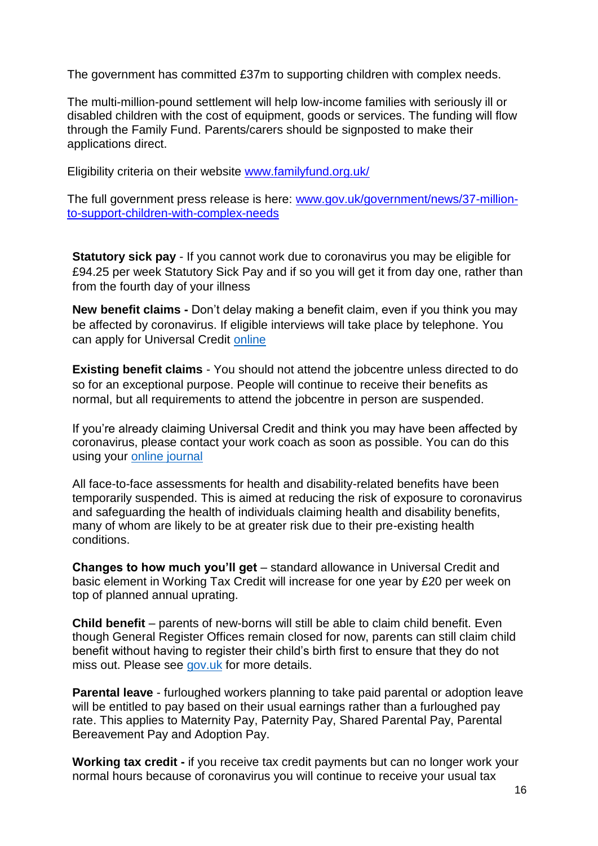The government has committed £37m to supporting children with complex needs.

The multi-million-pound settlement will help low-income families with seriously ill or disabled children with the cost of equipment, goods or services. The funding will flow through the Family Fund. Parents/carers should be signposted to make their applications direct.

Eligibility criteria on their website [www.familyfund.org.uk/](http://www.familyfund.org.uk/)

The full government press release is here: [www.gov.uk/government/news/37-million](http://www.gov.uk/government/news/37-million-to-support-children-with-complex-needs)[to-support-children-with-complex-needs](http://www.gov.uk/government/news/37-million-to-support-children-with-complex-needs)

**Statutory sick pay** - If you cannot work due to coronavirus you may be eligible for £94.25 per week Statutory Sick Pay and if so you will get it from day one, rather than from the fourth day of your illness

**New benefit claims -** Don't delay making a benefit claim, even if you think you may be affected by coronavirus. If eligible interviews will take place by telephone. You can apply for Universal Credit [online](https://www.gov.uk/apply-universal-credit)

**Existing benefit claims** - You should not attend the jobcentre unless directed to do so for an exceptional purpose. People will continue to receive their benefits as normal, but all requirements to attend the jobcentre in person are suspended.

If you're already claiming Universal Credit and think you may have been affected by coronavirus, please contact your work coach as soon as possible. You can do this using your [online journal](https://www.gov.uk/sign-in-universal-credit)

All face-to-face assessments for health and disability-related benefits have been temporarily suspended. This is aimed at reducing the risk of exposure to coronavirus and safeguarding the health of individuals claiming health and disability benefits, many of whom are likely to be at greater risk due to their pre-existing health conditions.

**Changes to how much you'll get** – standard allowance in Universal Credit and basic element in Working Tax Credit will increase for one year by £20 per week on top of planned annual uprating.

**Child benefit** – parents of new-borns will still be able to claim child benefit. Even though General Register Offices remain closed for now, parents can still claim child benefit without having to register their child's birth first to ensure that they do not miss out. Please see [gov.uk](https://gbr01.safelinks.protection.outlook.com/?url=https%3A%2F%2Fwww.gov.uk%2Fgovernment%2Fnews%2Fdont-miss-out-claim-child-benefit-by-phone-or-post-hmrc-tells-new-parents&data=02%7C01%7CPippa.Rugman%40communities.gov.uk%7Cfc274c1991754cfc5f5608d7db20aafd%7Cbf3468109c7d43dea87224a2ef3995a8%7C0%7C0%7C637218805658165085&sdata=sNYkO2VmyRfkWHVWlZuuVY4V%2FTwMuHGJ3fivQnDHYxk%3D&reserved=0) for more details.

**Parental leave** - furloughed workers planning to take paid parental or adoption leave will be entitled to pay based on their usual earnings rather than a furloughed pay rate. This applies to Maternity Pay, Paternity Pay, Shared Parental Pay, Parental Bereavement Pay and Adoption Pay.

**Working tax credit -** if you receive tax credit payments but can no longer work your normal hours because of coronavirus you will continue to receive your usual tax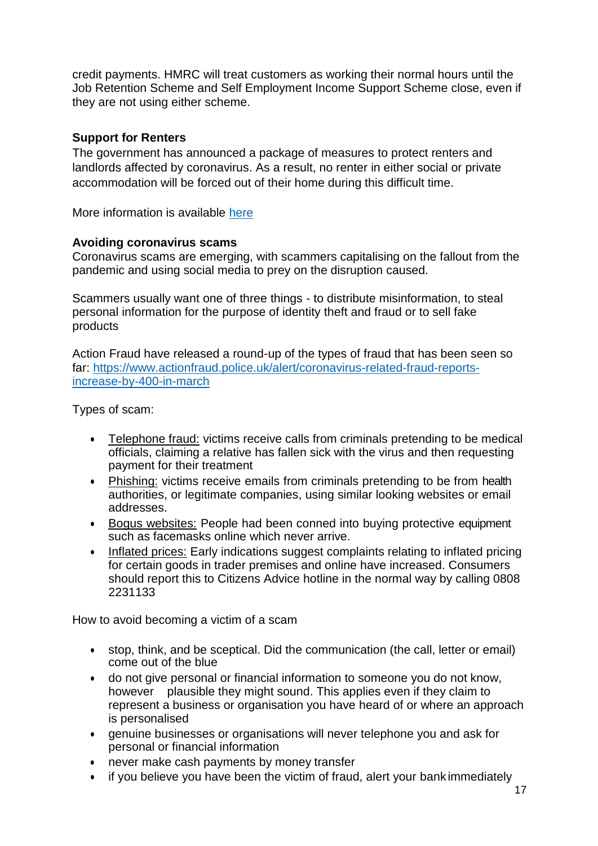credit payments. HMRC will treat customers as working their normal hours until the Job Retention Scheme and Self Employment Income Support Scheme close, even if they are not using either scheme.

### **Support for Renters**

The government has announced a package of measures to protect renters and landlords affected by coronavirus. As a result, no renter in either social or private accommodation will be forced out of their home during this difficult time.

More information is available [here](https://www.gov.uk/government/news/complete-ban-on-evictions-and-additional-protection-for-renters?utm_source=22d9b39c-647f-4aa9-b61c-7ba4733dc6f8&utm_medium=email&utm_campaign=govuk-notifications&utm_content=immediate)

### **Avoiding coronavirus scams**

Coronavirus scams are emerging, with scammers capitalising on the fallout from the pandemic and using social media to prey on the disruption caused.

Scammers usually want one of three things - to distribute misinformation, to steal personal information for the purpose of identity theft and fraud or to sell fake products

Action Fraud have released a round-up of the types of fraud that has been seen so far: [https://www.actionfraud.police.uk/alert/coronavirus-related-fraud-reports](https://www.actionfraud.police.uk/alert/coronavirus-related-fraud-reports-increase-by-400-in-march)[increase-by-400-in-march](https://www.actionfraud.police.uk/alert/coronavirus-related-fraud-reports-increase-by-400-in-march)

Types of scam:

- Telephone fraud: victims receive calls from criminals pretending to be medical officials, claiming a relative has fallen sick with the virus and then requesting payment for their treatment
- Phishing: victims receive emails from criminals pretending to be from health authorities, or legitimate companies, using similar looking websites or email addresses.
- Bogus websites: People had been conned into buying protective equipment such as facemasks online which never arrive.
- Inflated prices: Early indications suggest complaints relating to inflated pricing for certain goods in trader premises and online have increased. Consumers should report this to Citizens Advice hotline in the normal way by calling 0808 2231133

How to avoid becoming a victim of a scam

- stop, think, and be sceptical. Did the communication (the call, letter or email) come out of the blue
- do not give personal or financial information to someone you do not know, however plausible they might sound. This applies even if they claim to represent a business or organisation you have heard of or where an approach is personalised
- genuine businesses or organisations will never telephone you and ask for personal or financial information
- never make cash payments by money transfer
- if you believe you have been the victim of fraud, alert your bank immediately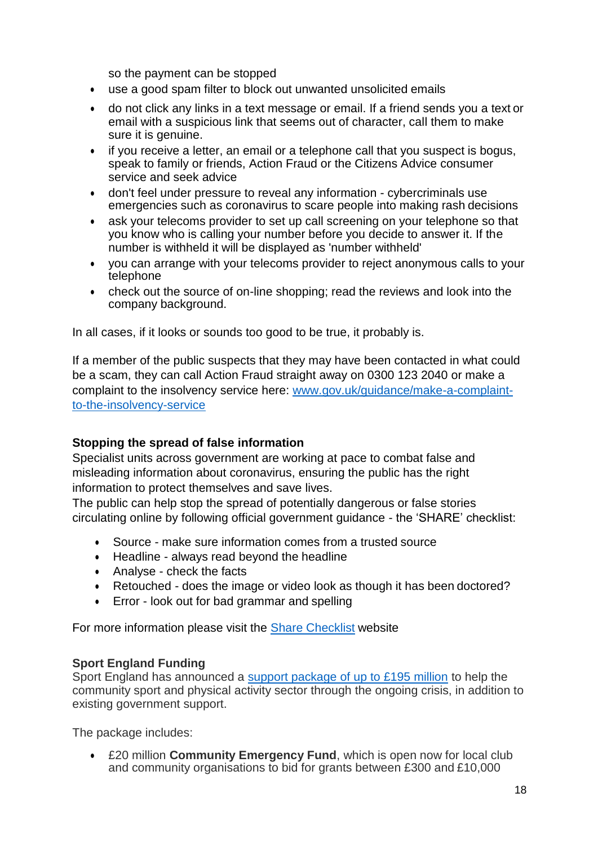so the payment can be stopped

- use a good spam filter to block out unwanted unsolicited emails
- do not click any links in a text message or email. If a friend sends you a text or email with a suspicious link that seems out of character, call them to make sure it is genuine.
- if you receive a letter, an email or a telephone call that you suspect is bogus, speak to family or friends, Action Fraud or the Citizens Advice consumer service and seek advice
- don't feel under pressure to reveal any information cybercriminals use emergencies such as coronavirus to scare people into making rash decisions
- ask your telecoms provider to set up call screening on your telephone so that you know who is calling your number before you decide to answer it. If the number is withheld it will be displayed as 'number withheld'
- you can arrange with your telecoms provider to reject anonymous calls to your telephone
- check out the source of on-line shopping; read the reviews and look into the company background.

In all cases, if it looks or sounds too good to be true, it probably is.

If a member of the public suspects that they may have been contacted in what could be a scam, they can call Action Fraud straight away on 0300 123 2040 or make a complaint to the insolvency service here: [www.gov.uk/guidance/make-a-complaint](http://www.gov.uk/guidance/make-a-complaint-to-the-insolvency-service)[to-the-insolvency-service](http://www.gov.uk/guidance/make-a-complaint-to-the-insolvency-service)

### **Stopping the spread of false information**

Specialist units across government are working at pace to combat false and misleading information about coronavirus, ensuring the public has the right information to protect themselves and save lives.

The public can help stop the spread of potentially dangerous or false stories circulating online by following official government guidance - the 'SHARE' checklist:

- Source make sure information comes from a trusted source
- Headline always read beyond the headline
- Analyse check the facts
- Retouched does the image or video look as though it has been doctored?
- Error look out for bad grammar and spelling

For more information please visit the [Share Checklist](https://sharechecklist.gov.uk/) website

### **Sport England Funding**

Sport England has announced a [support package of up to £195 million](https://www.sportengland.org/news/195-million-package-help-sport-and-physical-activity-through-coronavirus) to help the community sport and physical activity sector through the ongoing crisis, in addition to existing government support.

The package includes:

 £20 million **Community Emergency Fund**, which is open now for local club and community organisations to bid for grants between £300 and £10,000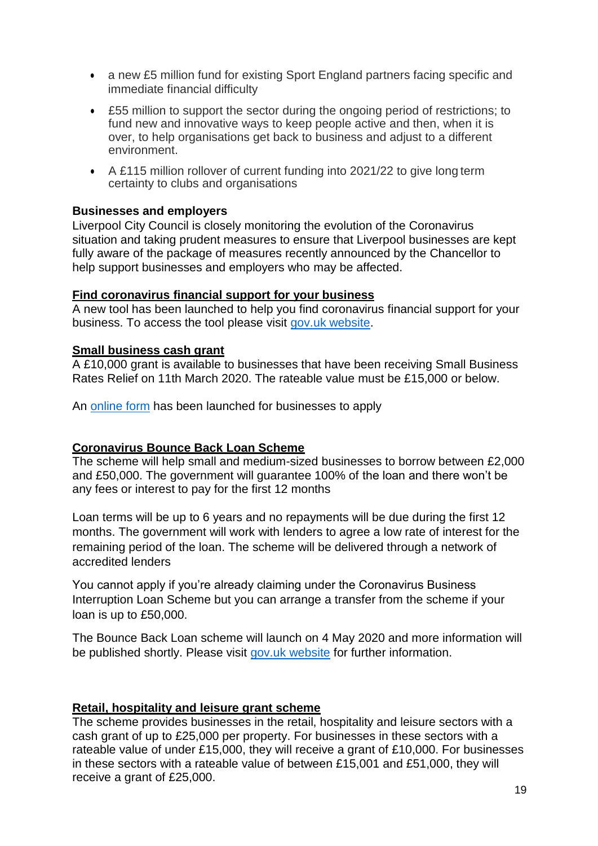- a new £5 million fund for existing Sport England partners facing specific and immediate financial difficulty
- £55 million to support the sector during the ongoing period of restrictions; to fund new and innovative ways to keep people active and then, when it is over, to help organisations get back to business and adjust to a different environment.
- A £115 million rollover of current funding into 2021/22 to give long term certainty to clubs and organisations

### **Businesses and employers**

Liverpool City Council is closely monitoring the evolution of the Coronavirus situation and taking prudent measures to ensure that Liverpool businesses are kept fully aware of the package of measures recently announced by the Chancellor to help support businesses and employers who may be affected.

### **Find coronavirus financial support for your business**

A new tool has been launched to help you find coronavirus financial support for your business. To access the tool please visit gov.uk [website.](https://www.gov.uk/business-coronavirus-support-finder)

### **Small business cash grant**

A £10,000 grant is available to businesses that have been receiving Small Business Rates Relief on 11th March 2020. The rateable value must be £15,000 or below.

An [online form](https://liverpool.gov.uk/covidbusinessgrants) has been launched for businesses to apply

## **Coronavirus Bounce Back Loan Scheme**

The scheme will help small and medium-sized businesses to borrow between £2,000 and £50,000. The government will guarantee 100% of the loan and there won't be any fees or interest to pay for the first 12 months

Loan terms will be up to 6 years and no repayments will be due during the first 12 months. The government will work with lenders to agree a low rate of interest for the remaining period of the loan. The scheme will be delivered through a network of accredited lenders

You cannot apply if you're already claiming under the Coronavirus Business Interruption Loan Scheme but you can arrange a transfer from the scheme if your loan is up to £50,000.

The Bounce Back Loan scheme will launch on 4 May 2020 and more information will be published shortly. Please visit [gov.uk website](https://www.gov.uk/guidance/apply-for-a-coronavirus-bounce-back-loan) for further information.

## **Retail, hospitality and leisure grant scheme**

The scheme provides businesses in the retail, hospitality and leisure sectors with a cash grant of up to £25,000 per property. For businesses in these sectors with a rateable value of under £15,000, they will receive a grant of £10,000. For businesses in these sectors with a rateable value of between £15,001 and £51,000, they will receive a grant of £25,000.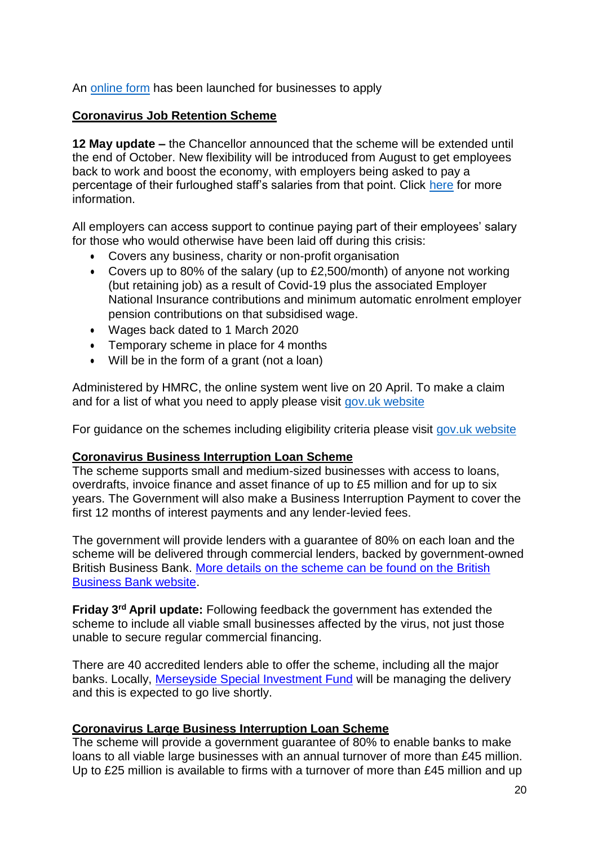An [online form](https://liverpool.gov.uk/covidbusinessgrants) has been launched for businesses to apply

### **Coronavirus Job Retention Scheme**

**12 May update –** the Chancellor announced that the scheme will be extended until the end of October. New flexibility will be introduced from August to get employees back to work and boost the economy, with employers being asked to pay a percentage of their furloughed staff's salaries from that point. Click [here](https://www.gov.uk/government/news/chancellor-extends-furlough-scheme-until-october) for more information.

All employers can access support to continue paying part of their employees' salary for those who would otherwise have been laid off during this crisis:

- Covers any business, charity or non-profit organisation
- Covers up to 80% of the salary (up to £2,500/month) of anyone not working (but retaining job) as a result of Covid-19 plus the associated Employer National Insurance contributions and minimum automatic enrolment employer pension contributions on that subsidised wage.
- Wages back dated to 1 March 2020
- Temporary scheme in place for 4 months
- Will be in the form of a grant (not a loan)

Administered by HMRC, the online system went live on 20 April. To make a claim and for a list of what you need to apply please visit [gov.uk website](https://www.gov.uk/guidance/claim-for-wages-through-the-coronavirus-job-retention-scheme)

For guidance on the schemes including eligibility criteria please visit [gov.uk website](https://www.gov.uk/guidance/claim-for-wage-costs-through-the-coronavirus-job-retention-scheme#history)

### **Coronavirus Business Interruption Loan Scheme**

The scheme supports small and medium-sized businesses with access to loans, overdrafts, invoice finance and asset finance of up to £5 million and for up to six years. The Government will also make a Business Interruption Payment to cover the first 12 months of interest payments and any lender-levied fees.

The government will provide lenders with a guarantee of 80% on each loan and the scheme will be delivered through commercial lenders, backed by government-owned British Business Bank. [More details on the scheme can be found on the British](https://www.british-business-bank.co.uk/ourpartners/coronavirus-business-interruption-loan-scheme-cbils/) [Business Bank website.](https://www.british-business-bank.co.uk/ourpartners/coronavirus-business-interruption-loan-scheme-cbils/)

**Friday 3rd April update:** Following feedback the government has extended the scheme to include all viable small businesses affected by the virus, not just those unable to secure regular commercial financing.

There are 40 accredited lenders able to offer the scheme, including all the major banks. Locally, [Merseyside Special Investment Fund](http://www.msif.co.uk/) will be managing the delivery and this is expected to go live shortly.

### **Coronavirus Large Business Interruption Loan Scheme**

The scheme will provide a government guarantee of 80% to enable banks to make loans to all viable large businesses with an annual turnover of more than £45 million. Up to £25 million is available to firms with a turnover of more than £45 million and up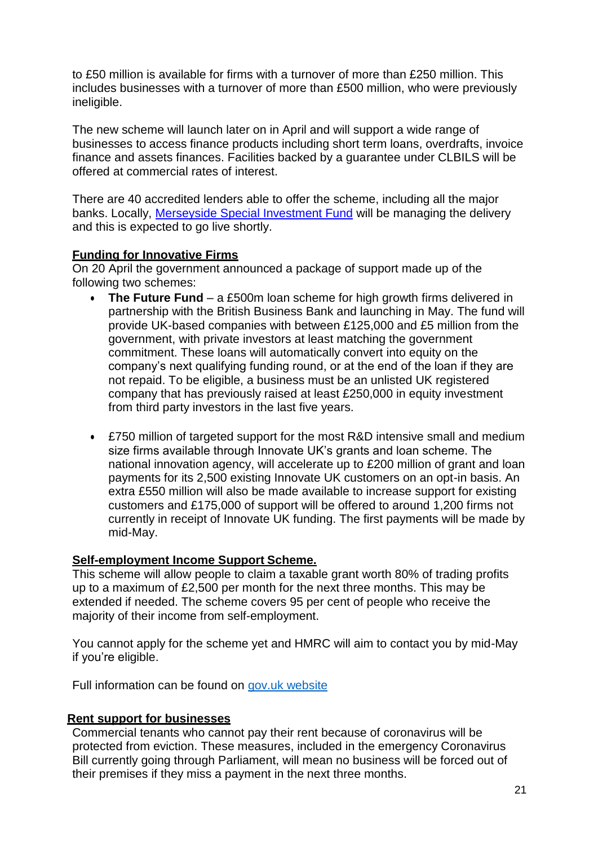to £50 million is available for firms with a turnover of more than £250 million. This includes businesses with a turnover of more than £500 million, who were previously ineligible.

The new scheme will launch later on in April and will support a wide range of businesses to access finance products including short term loans, overdrafts, invoice finance and assets finances. Facilities backed by a guarantee under CLBILS will be offered at commercial rates of interest.

There are 40 accredited lenders able to offer the scheme, including all the major banks. Locally, [Merseyside Special Investment Fund](http://www.msif.co.uk/) will be managing the delivery and this is expected to go live shortly.

### **Funding for Innovative Firms**

On 20 April the government announced a package of support made up of the following two schemes:

- The Future Fund a £500m loan scheme for high growth firms delivered in partnership with the British Business Bank and launching in May. The fund will provide UK-based companies with between £125,000 and £5 million from the government, with private investors at least matching the government commitment. These loans will automatically convert into equity on the company's next qualifying funding round, or at the end of the loan if they are not repaid. To be eligible, a business must be an unlisted UK registered company that has previously raised at least £250,000 in equity investment from third party investors in the last five years.
- £750 million of targeted support for the most R&D intensive small and medium size firms available through Innovate UK's grants and loan scheme. The national innovation agency, will accelerate up to £200 million of grant and loan payments for its 2,500 existing Innovate UK customers on an opt-in basis. An extra £550 million will also be made available to increase support for existing customers and £175,000 of support will be offered to around 1,200 firms not currently in receipt of Innovate UK funding. The first payments will be made by mid-May.

## **Self-employment Income Support Scheme.**

This scheme will allow people to claim a taxable grant worth 80% of trading profits up to a maximum of £2,500 per month for the next three months. This may be extended if needed. The scheme covers 95 per cent of people who receive the majority of their income from self-employment.

You cannot apply for the scheme yet and HMRC will aim to contact you by mid-May if you're eligible.

Full information can be found on gov.uk website

## **Rent support for businesses**

Commercial tenants who cannot pay their rent because of coronavirus will be protected from eviction. These measures, included in the emergency Coronavirus Bill currently going through Parliament, will mean no business will be forced out of their premises if they miss a payment in the next three months.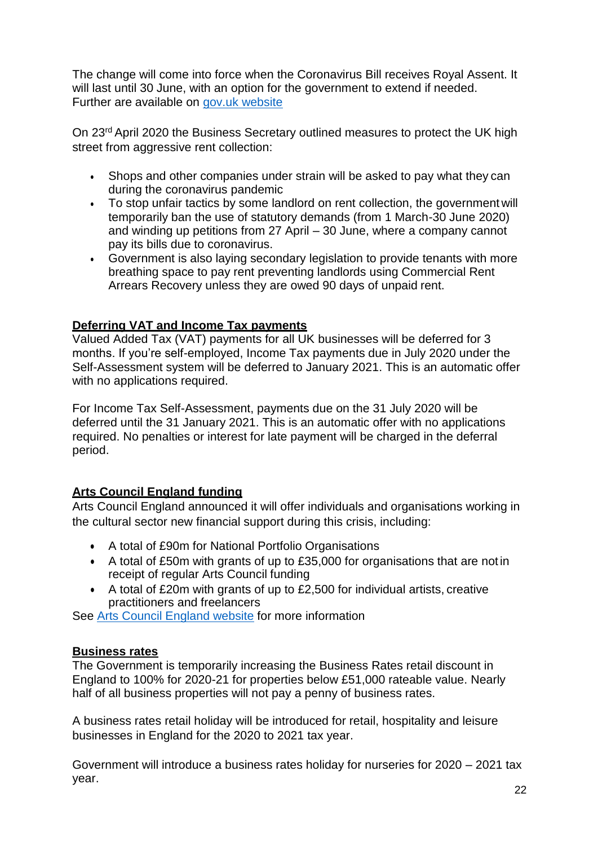The change will come into force when the Coronavirus Bill receives Royal Assent. It will last until 30 June, with an option for the government to extend if needed. Further are available on [gov.uk website](https://www.gov.uk/government/news/extra-protection-for-businesses-with-ban-on-evictions-for-commercial-tenants-who-miss-rent-payments.com)

On 23<sup>rd</sup> April 2020 the Business Secretary outlined measures to protect the UK high street from aggressive rent collection:

- Shops and other companies under strain will be asked to pay what they can during the coronavirus pandemic
- To stop unfair tactics by some landlord on rent collection, the government will temporarily ban the use of statutory demands (from 1 March-30 June 2020) and winding up petitions from 27 April – 30 June, where a company cannot pay its bills due to coronavirus.
- Government is also laying secondary legislation to provide tenants with more breathing space to pay rent preventing landlords using Commercial Rent Arrears Recovery unless they are owed 90 days of unpaid rent.

# **Deferring VAT and Income Tax payments**

Valued Added Tax (VAT) payments for all UK businesses will be deferred for 3 months. If you're self-employed, Income Tax payments due in July 2020 under the Self-Assessment system will be deferred to January 2021. This is an automatic offer with no applications required.

For Income Tax Self-Assessment, payments due on the 31 July 2020 will be deferred until the 31 January 2021. This is an automatic offer with no applications required. No penalties or interest for late payment will be charged in the deferral period.

## **Arts Council England funding**

Arts Council England announced it will offer individuals and organisations working in the cultural sector new financial support during this crisis, including:

- A total of £90m for National Portfolio Organisations
- A total of £50m with grants of up to £35,000 for organisations that are not in receipt of regular Arts Council funding
- A total of £20m with grants of up to £2,500 for individual artists, creative practitioners and freelancers

See [Arts Council England website](https://www.artscouncil.org.uk/covid19) for more information

## **Business rates**

The Government is temporarily increasing the Business Rates retail discount in England to 100% for 2020-21 for properties below £51,000 rateable value. Nearly half of all business properties will not pay a penny of business rates.

A business rates retail holiday will be introduced for retail, hospitality and leisure businesses in England for the 2020 to 2021 tax year.

Government will introduce a business rates holiday for nurseries for 2020 – 2021 tax year.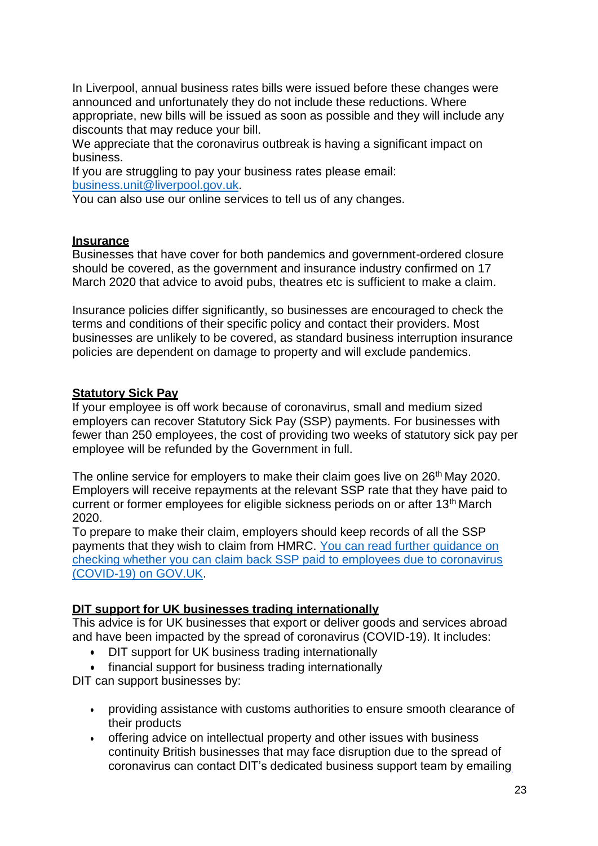In Liverpool, annual business rates bills were issued before these changes were announced and unfortunately they do not include these reductions. Where appropriate, new bills will be issued as soon as possible and they will include any discounts that may reduce your bill.

We appreciate that the coronavirus outbreak is having a significant impact on business.

If you are struggling to pay your business rates please email: [business.unit@liverpool.gov.uk.](mailto:business.unit@liverpool.gov.uk)

You can also use our online services to tell us of any changes.

#### **Insurance**

Businesses that have cover for both pandemics and government-ordered closure should be covered, as the government and insurance industry confirmed on 17 March 2020 that advice to avoid pubs, theatres etc is sufficient to make a claim.

Insurance policies differ significantly, so businesses are encouraged to check the terms and conditions of their specific policy and contact their providers. Most businesses are unlikely to be covered, as standard business interruption insurance policies are dependent on damage to property and will exclude pandemics.

#### **Statutory Sick Pay**

If your employee is off work because of coronavirus, small and medium sized employers can recover Statutory Sick Pay (SSP) payments. For businesses with fewer than 250 employees, the cost of providing two weeks of statutory sick pay per employee will be refunded by the Government in full.

The online service for employers to make their claim goes live on 26<sup>th</sup> May 2020. Employers will receive repayments at the relevant SSP rate that they have paid to current or former employees for eligible sickness periods on or after 13<sup>th</sup> March 2020.

To prepare to make their claim, employers should keep records of all the SSP payments that they wish to claim from HMRC. [You can read further guidance on](https://www.gov.uk/guidance/claim-back-statutory-sick-pay-paid-to-employees-due-to-coronavirus-covid-19) [checking whether you can claim back SSP paid to employees due to coronavirus](https://www.gov.uk/guidance/claim-back-statutory-sick-pay-paid-to-employees-due-to-coronavirus-covid-19) [\(COVID-19\) on GOV.UK.](https://www.gov.uk/guidance/claim-back-statutory-sick-pay-paid-to-employees-due-to-coronavirus-covid-19)

### **DIT support for UK businesses trading internationally**

This advice is for UK businesses that export or deliver goods and services abroad and have been impacted by the spread of coronavirus (COVID-19). It includes:

- DIT support for UK business trading internationally
- financial support for business trading internationally

DIT can support businesses by:

- providing assistance with customs authorities to ensure smooth clearance of their products
- offering advice on intellectual property and other issues with business continuity British businesses that may face disruption due to the spread of coronavirus can contact DIT's dedicated business support team by emailing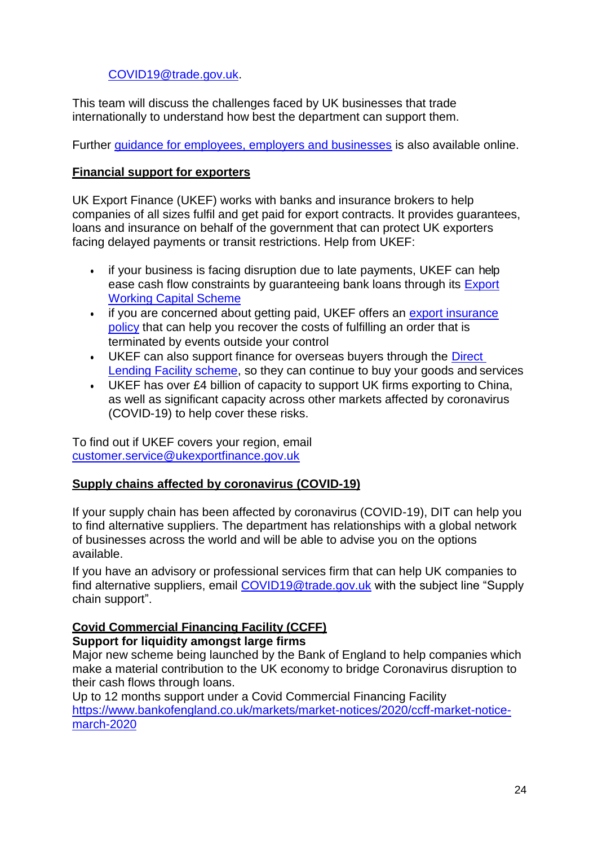# [COVID19@trade.gov.uk.](mailto:COVID19@trade.gov.uk)

This team will discuss the challenges faced by UK businesses that trade internationally to understand how best the department can support them.

Further [guidance for employees, employers and businesses](https://www.gov.uk/government/news/coronavirus-covid-19-guidance-for-employees-employers-and-businesses) is also available online.

### **Financial support for exporters**

UK Export Finance (UKEF) works with banks and insurance brokers to help companies of all sizes fulfil and get paid for export contracts. It provides guarantees, loans and insurance on behalf of the government that can protect UK exporters facing delayed payments or transit restrictions. Help from UKEF:

- if your business is facing disruption due to late payments, UKEF can help ease cash flow constraints by guaranteeing bank loans through its [Export](https://www.gov.uk/guidance/export-working-capital-scheme-overview-and-how-to-apply) [Working Capital](https://www.gov.uk/guidance/export-working-capital-scheme-overview-and-how-to-apply) Scheme
- if you are concerned about getting paid, UKEF offers an [export insurance](https://www.gov.uk/guidance/export-insurance-policy) [policy](https://www.gov.uk/guidance/export-insurance-policy) that can help you recover the costs of fulfilling an order that is terminated by events outside your control
- UKEF can also support finance for overseas buyers through the [Direct](https://www.gov.uk/guidance/direct-lending-scheme) [Lending Facility scheme,](https://www.gov.uk/guidance/direct-lending-scheme) so they can continue to buy your goods and services
- UKEF has over £4 billion of capacity to support UK firms exporting to China, as well as significant capacity across other markets affected by coronavirus (COVID-19) to help cover these risks.

To find out if UKEF covers your region, email [customer.service@ukexportfinance.gov.uk](mailto:customer.service@ukexportfinance.gov.uk)

### **Supply chains affected by coronavirus (COVID-19)**

If your supply chain has been affected by coronavirus (COVID-19), DIT can help you to find alternative suppliers. The department has relationships with a global network of businesses across the world and will be able to advise you on the options available.

If you have an advisory or professional services firm that can help UK companies to find alternative suppliers, email [COVID19@trade.gov.uk](mailto:COVID19@trade.gov.uk) with the subject line "Supply chain support".

### **Covid Commercial Financing Facility (CCFF)**

### **Support for liquidity amongst large firms**

Major new scheme being launched by the Bank of England to help companies which make a material contribution to the UK economy to bridge Coronavirus disruption to their cash flows through loans.

Up to 12 months support under a Covid Commercial Financing Facility [https://www.bankofengland.co.uk/markets/market-notices/2020/ccff-market-notice](https://www.bankofengland.co.uk/markets/market-notices/2020/ccff-market-notice-march-2020)[march-2020](https://www.bankofengland.co.uk/markets/market-notices/2020/ccff-market-notice-march-2020)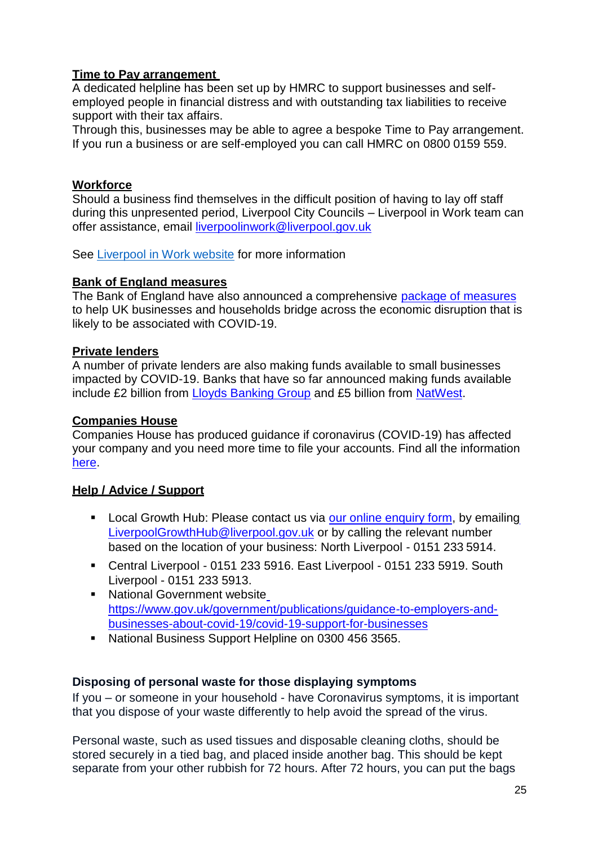## **Time to Pay arrangement**

A dedicated helpline has been set up by HMRC to support businesses and selfemployed people in financial distress and with outstanding tax liabilities to receive support with their tax affairs.

Through this, businesses may be able to agree a bespoke Time to Pay arrangement. If you run a business or are self-employed you can call HMRC on 0800 0159 559.

## **Workforce**

Should a business find themselves in the difficult position of having to lay off staff during this unpresented period, Liverpool City Councils – Liverpool in Work team can offer assistance, email [liverpoolinwork@liverpool.gov.uk](mailto:liverpoolinwork@liverpool.gov.uk)

See [Liverpool in Work website](http://www.liverpoolinwork.co.uk/) for more information

## **Bank of England measures**

The Bank of England have also announced a comprehensive [package of measures](https://www.bankofengland.co.uk/news/2020/march/boe-measures-to-respond-to-the-economic-shock-from-covid-19) to help UK businesses and households bridge across the economic disruption that is likely to be associated with COVID-19.

## **Private lenders**

A number of private lenders are also making funds available to small businesses impacted by COVID-19. Banks that have so far announced making funds available include £2 billion from [Lloyds Banking Group](https://www.lloydsbankinggroup.com/Media/Press-Releases/2020-press-releases/lloyds-banking-group/lloyds-banking-group-ready-to-support-uk-small-businesses-impacted-by-covid-19/) and £5 billion from [NatWest.](https://www.rbs.com/rbs/news/2020/03/natwest-pledges-p5bn-working-capital-support-for-smes-during-cor.html)

## **Companies House**

Companies House has produced guidance if coronavirus (COVID-19) has affected your company and you need more time to file your accounts. Find all the information [here.](https://www.gov.uk/government/news/coronavirus-if-your-company-cannot-file-accounts-with-companies-house-on-time?utm_source=c2ba96c8-8dc3-4ec4-a459-79a056d29160&utm_medium=email&utm_campaign=govuk-notifications&utm_content=daily)

## **Help / Advice / Support**

- **Local Growth Hub: Please contact us via [our online enquiry form,](https://localgrowthhub.com/broker/liverpool/) by emailin[g](mailto:LiverpoolGrowthHub@liverpool.gov.uk)** [LiverpoolGrowthHub@liverpool.gov.uk](mailto:LiverpoolGrowthHub@liverpool.gov.uk) or by calling the relevant number based on the location of your business: North Liverpool - 0151 233 5914.
- Central Liverpool 0151 233 5916. East Liverpool 0151 233 5919. South Liverpool - 0151 233 5913.
- National Gov[e](https://www.gov.uk/government/publications/guidance-to-employers-and-businesses-about-covid-19/covid-19-support-for-businesses)rnment website [https://www.gov.uk/government/publications/guidance-to-employers-and](https://www.gov.uk/government/publications/guidance-to-employers-and-businesses-about-covid-19/covid-19-support-for-businesses)[businesses-about-covid-19/covid-19-support-for-businesses](https://www.gov.uk/government/publications/guidance-to-employers-and-businesses-about-covid-19/covid-19-support-for-businesses)
- National Business Support Helpline on 0300 456 3565.

## **Disposing of personal waste for those displaying symptoms**

If you – or someone in your household - have Coronavirus symptoms, it is important that you dispose of your waste differently to help avoid the spread of the virus.

Personal waste, such as used tissues and disposable cleaning cloths, should be stored securely in a tied bag, and placed inside another bag. This should be kept separate from your other rubbish for 72 hours. After 72 hours, you can put the bags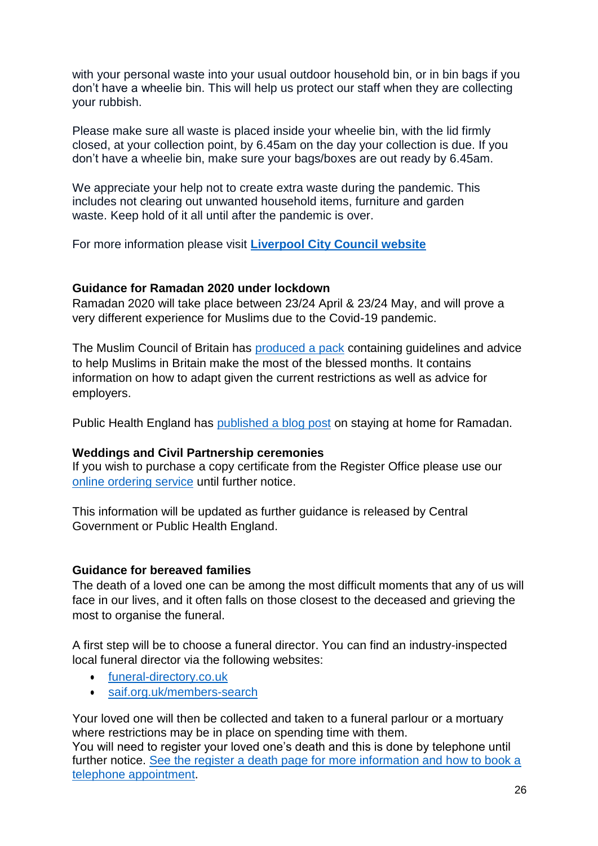with your personal waste into your usual outdoor household bin, or in bin bags if you don't have a wheelie bin. This will help us protect our staff when they are collecting your rubbish.

Please make sure all waste is placed inside your wheelie bin, with the lid firmly closed, at your collection point, by 6.45am on the day your collection is due. If you don't have a wheelie bin, make sure your bags/boxes are out ready by 6.45am.

We appreciate your help not to create extra waste during the pandemic. This includes not clearing out unwanted household items, furniture and garden waste. Keep hold of it all until after the pandemic is over.

For more information please visit **[Liverpool City Council website](https://liverpool.gov.uk/bins-and-recycling/)**

### **Guidance for Ramadan 2020 under lockdown**

Ramadan 2020 will take place between 23/24 April & 23/24 May, and will prove a very different experience for Muslims due to the Covid-19 pandemic.

The Muslim Council of Britain has [produced a pack](https://mcb.org.uk/general/ramadan2020_guidance/) containing guidelines and advice to help Muslims in Britain make the most of the blessed months. It contains information on how to adapt given the current restrictions as well as advice for employers.

Public Health England has [published a blog post](https://publichealthmatters.blog.gov.uk/2020/04/22/stay-at-home-for-ramadan/) on staying at home for Ramadan.

### **Weddings and Civil Partnership ceremonies**

If you wish to purchase a copy certificate from the Register Office please use our [online ordering service](https://liverpool.gov.uk/births-marriage-deaths/certificates-and-research/copies-of-certificates/) until further notice.

This information will be updated as further guidance is released by Central Government or Public Health England.

## **Guidance for bereaved families**

The death of a loved one can be among the most difficult moments that any of us will face in our lives, and it often falls on those closest to the deceased and grieving the most to organise the funeral.

A first step will be to choose a funeral director. You can find an industry-inspected local funeral director via the following websites:

- [funeral-directory.co.uk](https://funeral-directory.co.uk/)
- [saif.org.uk/members-search](http://saif.org.uk/members-search/)

Your loved one will then be collected and taken to a funeral parlour or a mortuary where restrictions may be in place on spending time with them.

You will need to register your loved one's death and this is done by telephone until further notice. [See the register a death page for more information and how to book a](https://www.liverpool.gov.uk/births-marriage-deaths/deaths/register-a-death/) [telephone appointment.](https://www.liverpool.gov.uk/births-marriage-deaths/deaths/register-a-death/)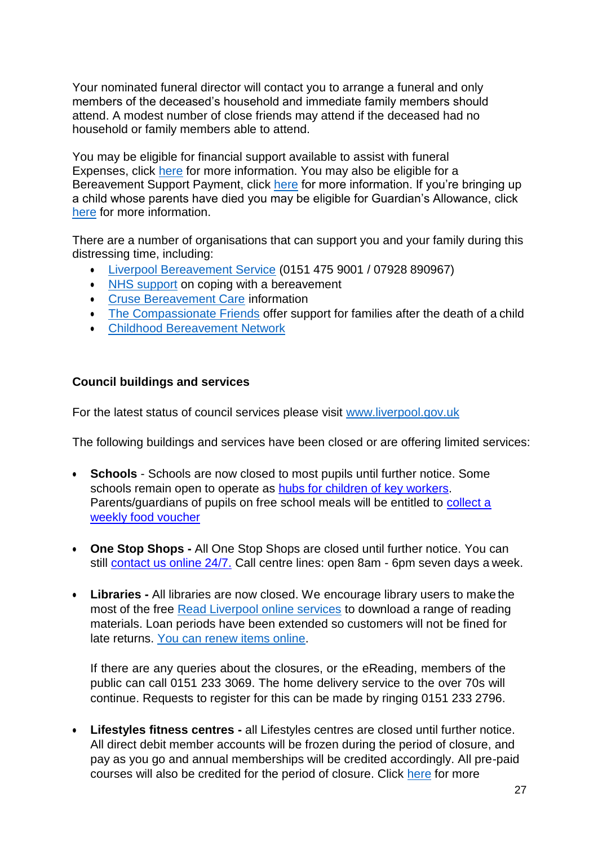Your nominated funeral director will contact you to arrange a funeral and only members of the deceased's household and immediate family members should attend. A modest number of close friends may attend if the deceased had no household or family members able to attend.

You may be eligible for financial support available to assist with funeral Expenses, click [here](https://www.gov.uk/funeral-payments) for more information. You may also be eligible for a Bereavement Support Payment, click [here](https://www.gov.uk/bereavement-support-payment) for more information. If you're bringing up a child whose parents have died you may be eligible for Guardian's Allowance, click [here](https://www.gov.uk/guardians-allowance) for more information.

There are a number of organisations that can support you and your family during this distressing time, including:

- [Liverpool Bereavement Service](https://liverpoolbereavement.com/) (0151 475 9001 / 07928 890967)
- [NHS support](https://www.nhs.uk/conditions/stress-anxiety-depression/coping-with-bereavement/) on coping with a bereavement
- [Cruse Bereavement Care](https://www.cruse.org.uk/) information
- [The Compassionate Friends](https://www.tcf.org.uk/) offer support for families after the death of a child
- [Childhood Bereavement](http://www.childhoodbereavementnetwork.org.uk/?gclid=EAIaIQobChMI2sCTtun-6AIVFeJ3Ch0CNgQlEAAYASAAEgJXM_D_BwE) Network

#### **Council buildings and services**

For the latest status of council services please visit [www.liverpool.gov.uk](http://www.liverpool.gov.uk/)

The following buildings and services have been closed or are offering limited services:

- **Schools**  Schools are now closed to most pupils until further notice. Some schools remain open to operate as **hubs for children of key workers**. Parents/guardians of pupils on free school meals will be entitled to [collect a](https://liverpool.gov.uk/communities-and-safety/emergency-planning/coronavirus/free-school-meals/) [weekly food](https://liverpool.gov.uk/communities-and-safety/emergency-planning/coronavirus/free-school-meals/) voucher
- **One Stop Shops -** All One Stop Shops are closed until further notice. You can still [contact us online 24/7.](https://liverpool.gov.uk/contact-us/) Call centre lines: open 8am - 6pm seven days a week.
- **Libraries -** All libraries are now closed. We encourage library users to make the most of the free [Read Liverpool online services](https://liverpool.gov.uk/libraries/ereading/) to download a range of reading materials. Loan periods have been extended so customers will not be fined for late returns. [You can renew items](https://liverpool.gov.uk/libraries/reserve-and-renew/) online.

If there are any queries about the closures, or the eReading, members of the public can call 0151 233 3069. The home delivery service to the over 70s will continue. Requests to register for this can be made by ringing 0151 233 2796.

 **Lifestyles fitness centres -** all Lifestyles centres are closed until further notice. All direct debit member accounts will be frozen during the period of closure, and pay as you go and annual memberships will be credited accordingly. All pre-paid courses will also be credited for the period of closure. Click [here](https://www.liverpool.gov.uk/News/NewsItem/39518/10569/Customer-information---Coronavirus) for more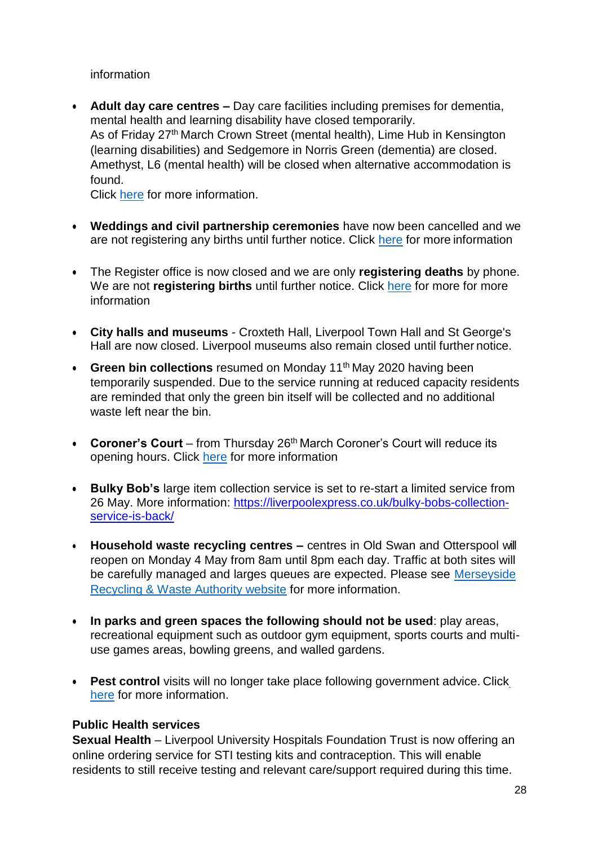information

 **Adult day care centres –** Day care facilities including premises for dementia, mental health and learning disability have closed temporarily. As of Friday 27<sup>th</sup> March Crown Street (mental health), Lime Hub in Kensington (learning disabilities) and Sedgemore in Norris Green (dementia) are closed. Amethyst, L6 (mental health) will be closed when alternative accommodation is found.

Click [here](https://liverpool.gov.uk/adult-social-care/community-support/) for more information.

- **Weddings and civil partnership ceremonies** have now been cancelled and we are not registering any births until further notice. Click [here](https://liverpool.gov.uk/births-marriage-deaths/customer-information-liverpool-register-office/) for more information
- The Register office is now closed and we are only **registering deaths** by phone. We are not **registering births** until further notice. Click [here](https://liverpool.gov.uk/births-marriage-deaths/deaths/register-a-death/) for more for more information
- **City halls and museums**  Croxteth Hall, Liverpool Town Hall and St George's Hall are now closed. Liverpool museums also remain closed until further notice.
- **Green bin collections** resumed on Monday 11<sup>th</sup> May 2020 having been temporarily suspended. Due to the service running at reduced capacity residents are reminded that only the green bin itself will be collected and no additional waste left near the bin.
- Coroner's Court from Thursday 26<sup>th</sup> March Coroner's Court will reduce its opening hours. Click [here](https://liverpool.gov.uk/births-marriage-deaths/deaths/the-coroner/) for more information
- **Bulky Bob's** large item collection service is set to re-start a limited service from 26 May. More information: [https://liverpoolexpress.co.uk/bulky-bobs-collection](https://liverpoolexpress.co.uk/bulky-bobs-collection-service-is-back/)[service-is-back/](https://liverpoolexpress.co.uk/bulky-bobs-collection-service-is-back/)
- **Household waste recycling centres –** centres in Old Swan and Otterspool will reopen on Monday 4 May from 8am until 8pm each day. Traffic at both sites will be carefully managed and larges queues are expected. Please see [Merseyside](https://www.merseysidewda.gov.uk/2020/04/coronavirus-update-monday-30th-march-2020/) [Recycling & Waste Authority website](https://www.merseysidewda.gov.uk/2020/04/coronavirus-update-monday-30th-march-2020/) for more information.
- **In parks and green spaces the following should not be used**: play areas, recreational equipment such as outdoor gym equipment, sports courts and multiuse games areas, bowling greens, and walled gardens.
- **Pest control** visits will no longer ta[k](https://www.liverpool.gov.uk/environmental-problems/pests-and-infestation/)e place following government advice. Click [here](https://www.liverpool.gov.uk/environmental-problems/pests-and-infestation/) for more information.

## **Public Health services**

**Sexual Health** – Liverpool University Hospitals Foundation Trust is now offering an online ordering service for STI testing kits and contraception. This will enable residents to still receive testing and relevant care/support required during this time.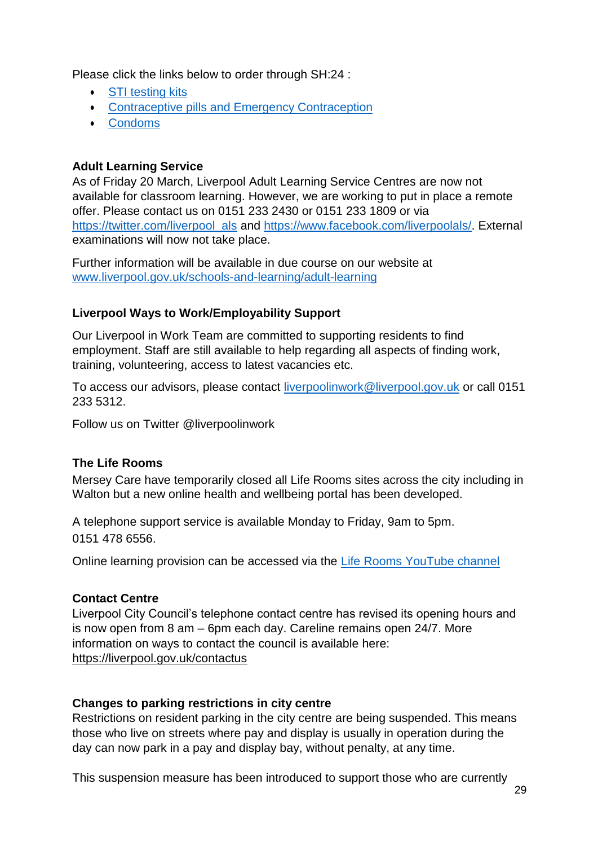Please click the links below to order through SH:24 :

- [STI testing](https://www.axess.clinic/order-a-test/) kits
- **[Contraceptive pills and Emergency](https://www.axess.clinic/order-contraception/) Contraception**
- [Condoms](https://www.axess.clinic/condoms/)

### **Adult Learning Service**

As of Friday 20 March, Liverpool Adult Learning Service Centres are now not available for classroom learning. However, we are working to put in place a remote offer. Please contact us on 0151 233 2430 or 0151 233 1809 or via [https://twitter.com/liverpool\\_als](https://twitter.com/liverpool_als) and [https://www.facebook.com/liverpoolals/.](https://www.facebook.com/liverpoolals/) External examinations will now not take place.

Further information will be available in due course on our website at [www.liverpool.gov.uk/schools-and-learning/adult-learning](http://www.liverpool.gov.uk/schools-and-learning/adult-learning)

## **Liverpool Ways to Work/Employability Support**

Our Liverpool in Work Team are committed to supporting residents to find employment. Staff are still available to help regarding all aspects of finding work, training, volunteering, access to latest vacancies etc.

To access our advisors, please contact [liverpoolinwork@liverpool.gov.uk](mailto:liverpoolinwork@liverpool.gov.uk) or call 0151 233 5312.

Follow us on Twitter @liverpoolinwork

### **The Life Rooms**

Mersey Care have temporarily closed all Life Rooms sites across the city including in Walton but a new online health and wellbeing portal has been developed.

A telephone support service is available Monday to Friday, 9am to 5pm. 0151 478 6556.

Online learning provision can be accessed via the Life Rooms YouTube channel

### **Contact Centre**

Liverpool City Council's telephone contact centre has revised its opening hours and is now open from 8 am – 6pm each day. Careline remains open 24/7. More information on ways to contact the council is available here: <https://liverpool.gov.uk/contactus>

### **Changes to parking restrictions in city centre**

Restrictions on resident parking in the city centre are being suspended. This means those who live on streets where pay and display is usually in operation during the day can now park in a pay and display bay, without penalty, at any time.

This suspension measure has been introduced to support those who are currently